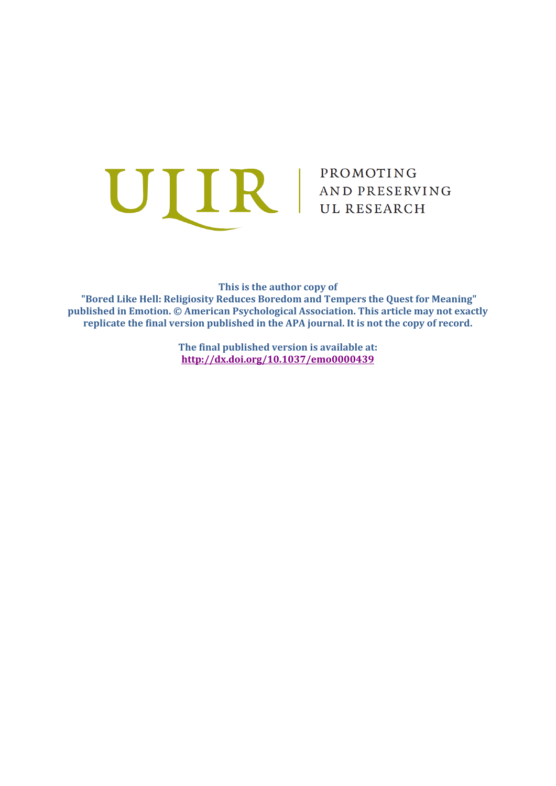

**This is the author copy of**

**"Bored Like Hell: Religiosity Reduces Boredom and Tempers the Quest for Meaning" published in Emotion. © American Psychological Association. This article may not exactly replicate the final version published in the APA journal. It is not the copy of record.**

> **The final published version is available at: <http://dx.doi.org/10.1037/emo0000439>**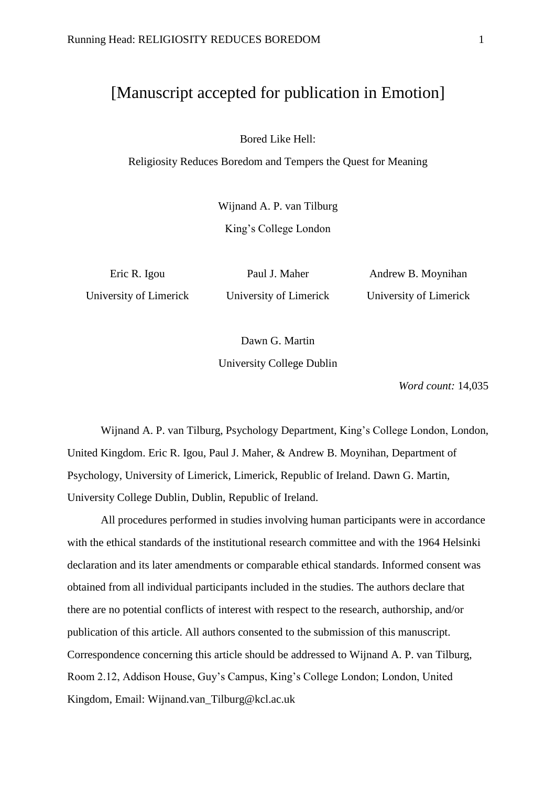# [Manuscript accepted for publication in Emotion]

Bored Like Hell:

Religiosity Reduces Boredom and Tempers the Quest for Meaning

Wijnand A. P. van Tilburg King's College London

Eric R. Igou University of Limerick

Paul J. Maher University of Limerick

Andrew B. Moynihan University of Limerick

Dawn G. Martin

University College Dublin

*Word count:* 14,035

Wijnand A. P. van Tilburg, Psychology Department, King's College London, London, United Kingdom. Eric R. Igou, Paul J. Maher, & Andrew B. Moynihan, Department of Psychology, University of Limerick, Limerick, Republic of Ireland. Dawn G. Martin, University College Dublin, Dublin, Republic of Ireland.

All procedures performed in studies involving human participants were in accordance with the ethical standards of the institutional research committee and with the 1964 Helsinki declaration and its later amendments or comparable ethical standards. Informed consent was obtained from all individual participants included in the studies. The authors declare that there are no potential conflicts of interest with respect to the research, authorship, and/or publication of this article. All authors consented to the submission of this manuscript. Correspondence concerning this article should be addressed to Wijnand A. P. van Tilburg, Room 2.12, Addison House, Guy's Campus, King's College London; London, United Kingdom, Email: Wijnand.van\_Tilburg@kcl.ac.uk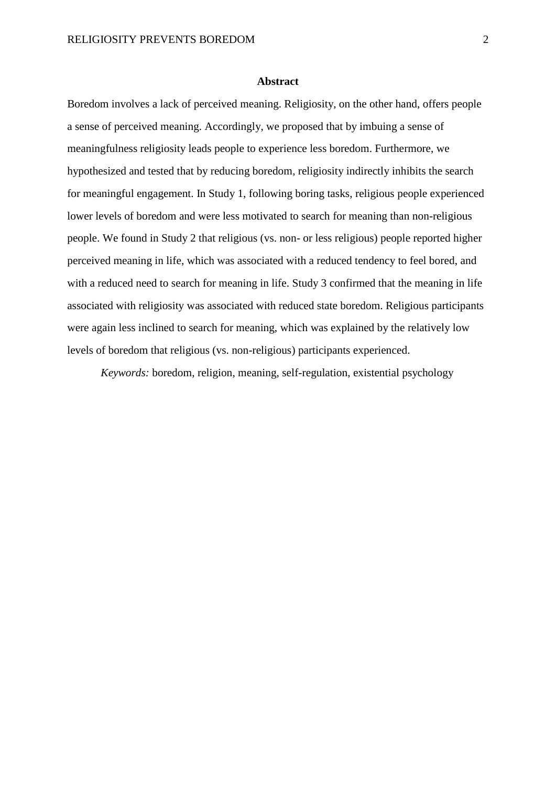#### **Abstract**

Boredom involves a lack of perceived meaning. Religiosity, on the other hand, offers people a sense of perceived meaning. Accordingly, we proposed that by imbuing a sense of meaningfulness religiosity leads people to experience less boredom. Furthermore, we hypothesized and tested that by reducing boredom, religiosity indirectly inhibits the search for meaningful engagement. In Study 1, following boring tasks, religious people experienced lower levels of boredom and were less motivated to search for meaning than non-religious people. We found in Study 2 that religious (vs. non- or less religious) people reported higher perceived meaning in life, which was associated with a reduced tendency to feel bored, and with a reduced need to search for meaning in life. Study 3 confirmed that the meaning in life associated with religiosity was associated with reduced state boredom. Religious participants were again less inclined to search for meaning, which was explained by the relatively low levels of boredom that religious (vs. non-religious) participants experienced.

*Keywords:* boredom, religion, meaning, self-regulation, existential psychology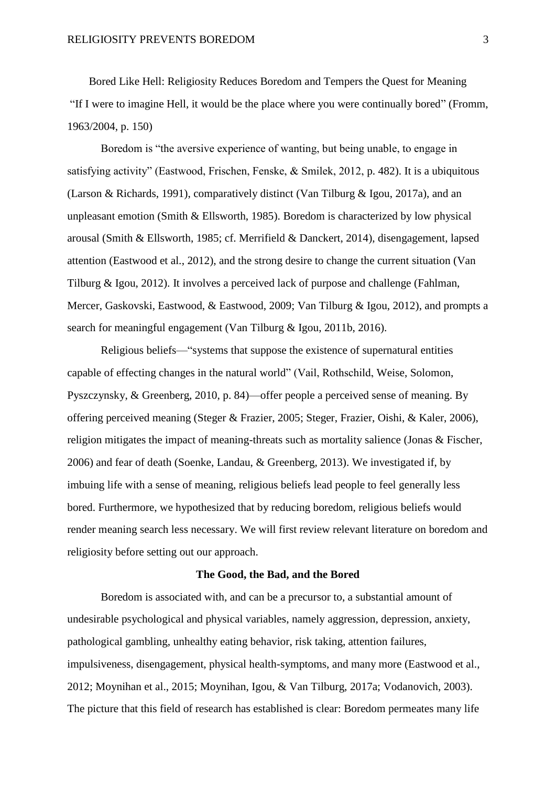Bored Like Hell: Religiosity Reduces Boredom and Tempers the Quest for Meaning "If I were to imagine Hell, it would be the place where you were continually bored" (Fromm, 1963/2004, p. 150)

Boredom is "the aversive experience of wanting, but being unable, to engage in satisfying activity" (Eastwood, Frischen, Fenske, & Smilek, 2012, p. 482). It is a ubiquitous (Larson & Richards, 1991), comparatively distinct (Van Tilburg & Igou, 2017a), and an unpleasant emotion (Smith & Ellsworth, 1985). Boredom is characterized by low physical arousal (Smith & Ellsworth, 1985; cf. Merrifield & Danckert, 2014), disengagement, lapsed attention (Eastwood et al., 2012), and the strong desire to change the current situation (Van Tilburg & Igou, 2012). It involves a perceived lack of purpose and challenge (Fahlman, Mercer, Gaskovski, Eastwood, & Eastwood, 2009; Van Tilburg & Igou, 2012), and prompts a search for meaningful engagement (Van Tilburg & Igou, 2011b, 2016).

Religious beliefs—"systems that suppose the existence of supernatural entities capable of effecting changes in the natural world" (Vail, Rothschild, Weise, Solomon, Pyszczynsky, & Greenberg, 2010, p. 84)—offer people a perceived sense of meaning. By offering perceived meaning (Steger & Frazier, 2005; Steger, Frazier, Oishi, & Kaler, 2006), religion mitigates the impact of meaning-threats such as mortality salience (Jonas & Fischer, 2006) and fear of death (Soenke, Landau, & Greenberg, 2013). We investigated if, by imbuing life with a sense of meaning, religious beliefs lead people to feel generally less bored. Furthermore, we hypothesized that by reducing boredom, religious beliefs would render meaning search less necessary. We will first review relevant literature on boredom and religiosity before setting out our approach.

## **The Good, the Bad, and the Bored**

Boredom is associated with, and can be a precursor to, a substantial amount of undesirable psychological and physical variables, namely aggression, depression, anxiety, pathological gambling, unhealthy eating behavior, risk taking, attention failures, impulsiveness, disengagement, physical health-symptoms, and many more (Eastwood et al., 2012; Moynihan et al., 2015; Moynihan, Igou, & Van Tilburg, 2017a; Vodanovich, 2003). The picture that this field of research has established is clear: Boredom permeates many life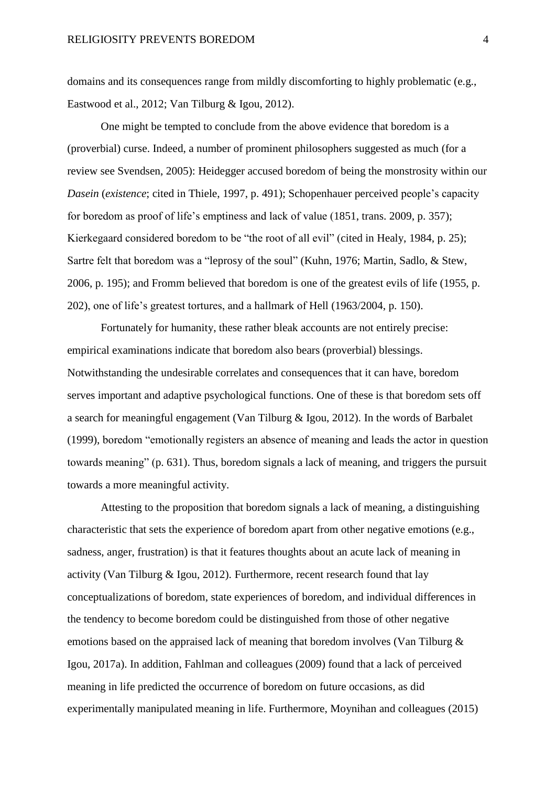domains and its consequences range from mildly discomforting to highly problematic (e.g., Eastwood et al., 2012; Van Tilburg & Igou, 2012).

One might be tempted to conclude from the above evidence that boredom is a (proverbial) curse. Indeed, a number of prominent philosophers suggested as much (for a review see Svendsen, 2005): Heidegger accused boredom of being the monstrosity within our *Dasein* (*existence*; cited in Thiele, 1997, p. 491); Schopenhauer perceived people's capacity for boredom as proof of life's emptiness and lack of value (1851, trans. 2009, p. 357); Kierkegaard considered boredom to be "the root of all evil" (cited in Healy, 1984, p. 25); Sartre felt that boredom was a "leprosy of the soul" (Kuhn, 1976; Martin, Sadlo, & Stew, 2006, p. 195); and Fromm believed that boredom is one of the greatest evils of life (1955, p. 202), one of life's greatest tortures, and a hallmark of Hell (1963/2004, p. 150).

Fortunately for humanity, these rather bleak accounts are not entirely precise: empirical examinations indicate that boredom also bears (proverbial) blessings. Notwithstanding the undesirable correlates and consequences that it can have, boredom serves important and adaptive psychological functions. One of these is that boredom sets off a search for meaningful engagement (Van Tilburg & Igou, 2012). In the words of Barbalet (1999), boredom "emotionally registers an absence of meaning and leads the actor in question towards meaning" (p. 631). Thus, boredom signals a lack of meaning, and triggers the pursuit towards a more meaningful activity.

Attesting to the proposition that boredom signals a lack of meaning, a distinguishing characteristic that sets the experience of boredom apart from other negative emotions (e.g., sadness, anger, frustration) is that it features thoughts about an acute lack of meaning in activity (Van Tilburg & Igou, 2012). Furthermore, recent research found that lay conceptualizations of boredom, state experiences of boredom, and individual differences in the tendency to become boredom could be distinguished from those of other negative emotions based on the appraised lack of meaning that boredom involves (Van Tilburg & Igou, 2017a). In addition, Fahlman and colleagues (2009) found that a lack of perceived meaning in life predicted the occurrence of boredom on future occasions, as did experimentally manipulated meaning in life. Furthermore, Moynihan and colleagues (2015)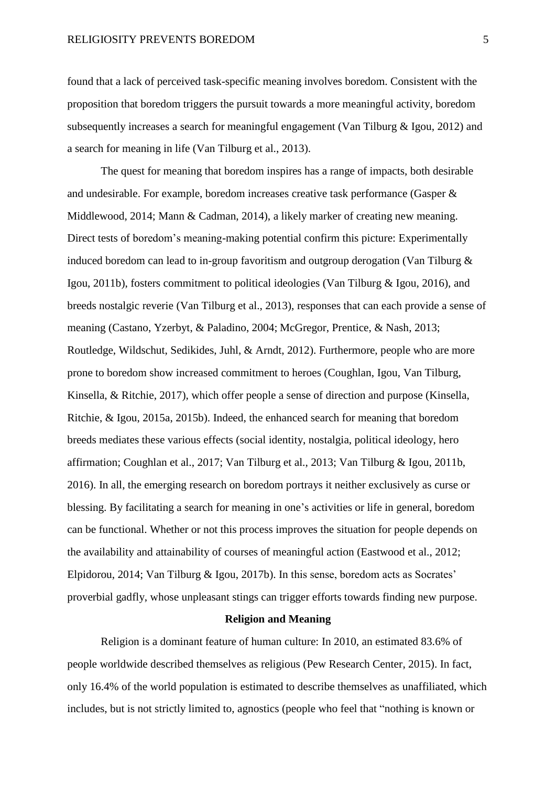found that a lack of perceived task-specific meaning involves boredom. Consistent with the proposition that boredom triggers the pursuit towards a more meaningful activity, boredom subsequently increases a search for meaningful engagement (Van Tilburg & Igou, 2012) and a search for meaning in life (Van Tilburg et al., 2013).

The quest for meaning that boredom inspires has a range of impacts, both desirable and undesirable. For example, boredom increases creative task performance (Gasper & Middlewood, 2014; Mann & Cadman, 2014), a likely marker of creating new meaning. Direct tests of boredom's meaning-making potential confirm this picture: Experimentally induced boredom can lead to in-group favoritism and outgroup derogation (Van Tilburg & Igou, 2011b), fosters commitment to political ideologies (Van Tilburg & Igou, 2016), and breeds nostalgic reverie (Van Tilburg et al., 2013), responses that can each provide a sense of meaning (Castano, Yzerbyt, & Paladino, 2004; McGregor, Prentice, & Nash, 2013; Routledge, Wildschut, Sedikides, Juhl, & Arndt, 2012). Furthermore, people who are more prone to boredom show increased commitment to heroes (Coughlan, Igou, Van Tilburg, Kinsella, & Ritchie, 2017), which offer people a sense of direction and purpose (Kinsella, Ritchie, & Igou, 2015a, 2015b). Indeed, the enhanced search for meaning that boredom breeds mediates these various effects (social identity, nostalgia, political ideology, hero affirmation; Coughlan et al., 2017; Van Tilburg et al., 2013; Van Tilburg & Igou, 2011b, 2016). In all, the emerging research on boredom portrays it neither exclusively as curse or blessing. By facilitating a search for meaning in one's activities or life in general, boredom can be functional. Whether or not this process improves the situation for people depends on the availability and attainability of courses of meaningful action (Eastwood et al., 2012; Elpidorou, 2014; Van Tilburg & Igou, 2017b). In this sense, boredom acts as Socrates' proverbial gadfly, whose unpleasant stings can trigger efforts towards finding new purpose.

## **Religion and Meaning**

Religion is a dominant feature of human culture: In 2010, an estimated 83.6% of people worldwide described themselves as religious (Pew Research Center, 2015). In fact, only 16.4% of the world population is estimated to describe themselves as unaffiliated, which includes, but is not strictly limited to, agnostics (people who feel that "nothing is known or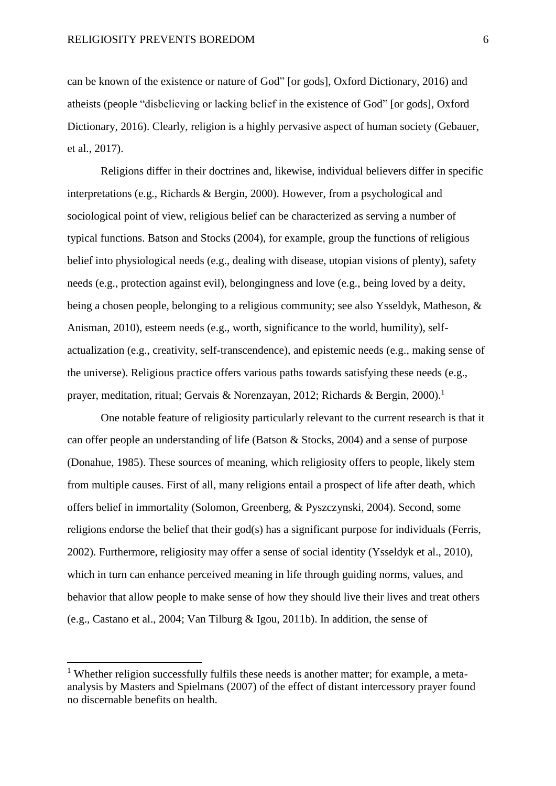can be known of the existence or nature of God" [or gods], Oxford Dictionary, 2016) and atheists (people "disbelieving or lacking belief in the existence of God" [or gods], Oxford Dictionary, 2016). Clearly, religion is a highly pervasive aspect of human society (Gebauer, et al., 2017).

Religions differ in their doctrines and, likewise, individual believers differ in specific interpretations (e.g., Richards & Bergin, 2000). However, from a psychological and sociological point of view, religious belief can be characterized as serving a number of typical functions. Batson and Stocks (2004), for example, group the functions of religious belief into physiological needs (e.g., dealing with disease, utopian visions of plenty), safety needs (e.g., protection against evil), belongingness and love (e.g., being loved by a deity, being a chosen people, belonging to a religious community; see also Ysseldyk, Matheson, & Anisman, 2010), esteem needs (e.g., worth, significance to the world, humility), selfactualization (e.g., creativity, self-transcendence), and epistemic needs (e.g., making sense of the universe). Religious practice offers various paths towards satisfying these needs (e.g., prayer, meditation, ritual; Gervais & Norenzayan, 2012; Richards & Bergin, 2000).<sup>1</sup>

One notable feature of religiosity particularly relevant to the current research is that it can offer people an understanding of life (Batson & Stocks, 2004) and a sense of purpose (Donahue, 1985). These sources of meaning, which religiosity offers to people, likely stem from multiple causes. First of all, many religions entail a prospect of life after death, which offers belief in immortality (Solomon, Greenberg, & Pyszczynski, 2004). Second, some religions endorse the belief that their god(s) has a significant purpose for individuals (Ferris, 2002). Furthermore, religiosity may offer a sense of social identity (Ysseldyk et al., 2010), which in turn can enhance perceived meaning in life through guiding norms, values, and behavior that allow people to make sense of how they should live their lives and treat others (e.g., Castano et al., 2004; Van Tilburg & Igou, 2011b). In addition, the sense of

 $\overline{a}$ 

<sup>&</sup>lt;sup>1</sup> Whether religion successfully fulfils these needs is another matter; for example, a metaanalysis by Masters and Spielmans (2007) of the effect of distant intercessory prayer found no discernable benefits on health.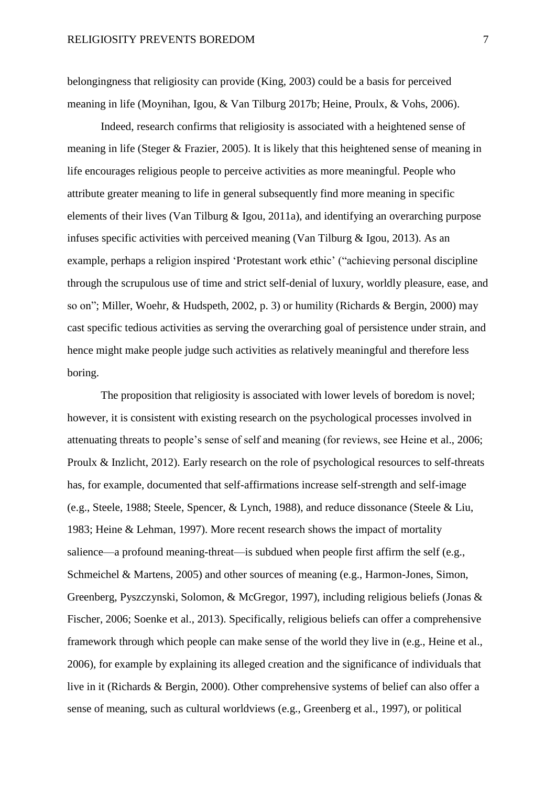belongingness that religiosity can provide (King, 2003) could be a basis for perceived meaning in life (Moynihan, Igou, & Van Tilburg 2017b; Heine, Proulx, & Vohs, 2006).

Indeed, research confirms that religiosity is associated with a heightened sense of meaning in life (Steger & Frazier, 2005). It is likely that this heightened sense of meaning in life encourages religious people to perceive activities as more meaningful. People who attribute greater meaning to life in general subsequently find more meaning in specific elements of their lives (Van Tilburg & Igou, 2011a), and identifying an overarching purpose infuses specific activities with perceived meaning (Van Tilburg & Igou, 2013). As an example, perhaps a religion inspired 'Protestant work ethic' ("achieving personal discipline through the scrupulous use of time and strict self-denial of luxury, worldly pleasure, ease, and so on"; Miller, Woehr, & Hudspeth, 2002, p. 3) or humility (Richards & Bergin, 2000) may cast specific tedious activities as serving the overarching goal of persistence under strain, and hence might make people judge such activities as relatively meaningful and therefore less boring.

The proposition that religiosity is associated with lower levels of boredom is novel; however, it is consistent with existing research on the psychological processes involved in attenuating threats to people's sense of self and meaning (for reviews, see Heine et al., 2006; Proulx & Inzlicht, 2012). Early research on the role of psychological resources to self-threats has, for example, documented that self-affirmations increase self-strength and self-image (e.g., Steele, 1988; Steele, Spencer, & Lynch, 1988), and reduce dissonance (Steele & Liu, 1983; Heine & Lehman, 1997). More recent research shows the impact of mortality salience—a profound meaning-threat—is subdued when people first affirm the self (e.g., Schmeichel & Martens, 2005) and other sources of meaning (e.g., Harmon-Jones, Simon, Greenberg, Pyszczynski, Solomon, & McGregor, 1997), including religious beliefs (Jonas & Fischer, 2006; Soenke et al., 2013). Specifically, religious beliefs can offer a comprehensive framework through which people can make sense of the world they live in (e.g., Heine et al., 2006), for example by explaining its alleged creation and the significance of individuals that live in it (Richards & Bergin, 2000). Other comprehensive systems of belief can also offer a sense of meaning, such as cultural worldviews (e.g., Greenberg et al., 1997), or political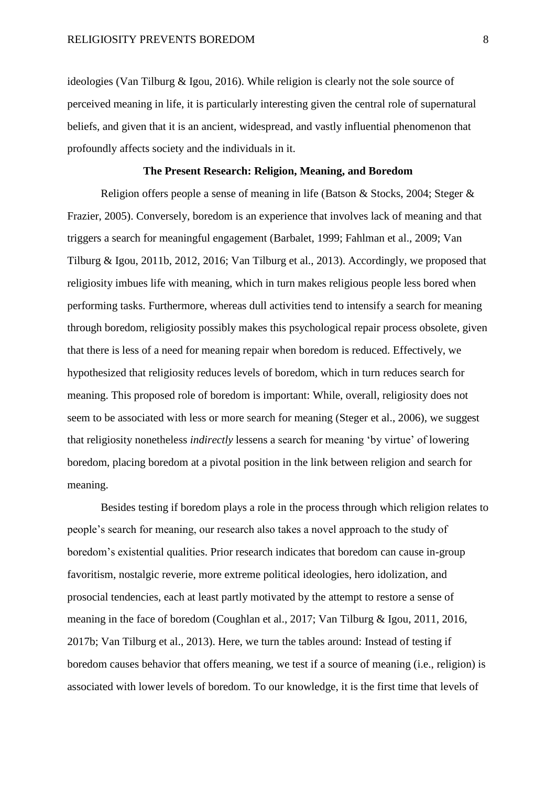ideologies (Van Tilburg & Igou, 2016). While religion is clearly not the sole source of perceived meaning in life, it is particularly interesting given the central role of supernatural beliefs, and given that it is an ancient, widespread, and vastly influential phenomenon that profoundly affects society and the individuals in it.

## **The Present Research: Religion, Meaning, and Boredom**

Religion offers people a sense of meaning in life (Batson & Stocks, 2004; Steger & Frazier, 2005). Conversely, boredom is an experience that involves lack of meaning and that triggers a search for meaningful engagement (Barbalet, 1999; Fahlman et al., 2009; Van Tilburg & Igou, 2011b, 2012, 2016; Van Tilburg et al., 2013). Accordingly, we proposed that religiosity imbues life with meaning, which in turn makes religious people less bored when performing tasks. Furthermore, whereas dull activities tend to intensify a search for meaning through boredom, religiosity possibly makes this psychological repair process obsolete, given that there is less of a need for meaning repair when boredom is reduced. Effectively, we hypothesized that religiosity reduces levels of boredom, which in turn reduces search for meaning. This proposed role of boredom is important: While, overall, religiosity does not seem to be associated with less or more search for meaning (Steger et al., 2006), we suggest that religiosity nonetheless *indirectly* lessens a search for meaning 'by virtue' of lowering boredom, placing boredom at a pivotal position in the link between religion and search for meaning.

Besides testing if boredom plays a role in the process through which religion relates to people's search for meaning, our research also takes a novel approach to the study of boredom's existential qualities. Prior research indicates that boredom can cause in-group favoritism, nostalgic reverie, more extreme political ideologies, hero idolization, and prosocial tendencies, each at least partly motivated by the attempt to restore a sense of meaning in the face of boredom (Coughlan et al., 2017; Van Tilburg & Igou, 2011, 2016, 2017b; Van Tilburg et al., 2013). Here, we turn the tables around: Instead of testing if boredom causes behavior that offers meaning, we test if a source of meaning (i.e., religion) is associated with lower levels of boredom. To our knowledge, it is the first time that levels of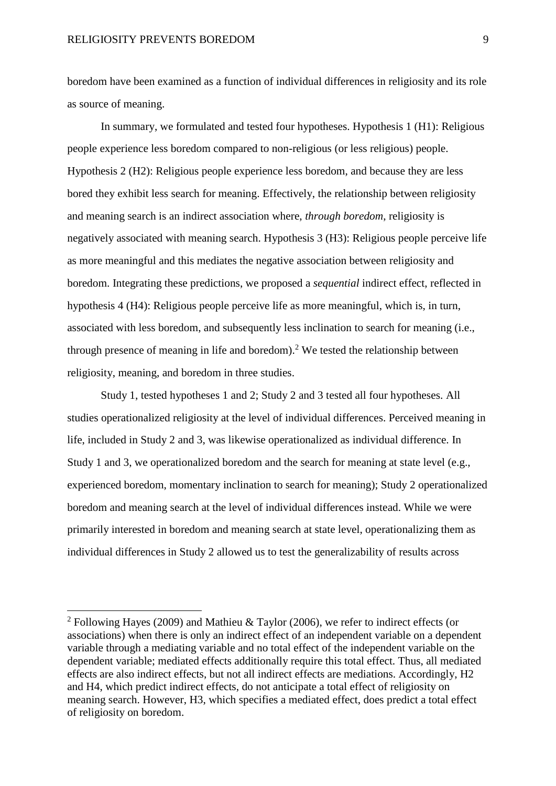1

boredom have been examined as a function of individual differences in religiosity and its role as source of meaning.

In summary, we formulated and tested four hypotheses. Hypothesis 1 (H1): Religious people experience less boredom compared to non-religious (or less religious) people. Hypothesis 2 (H2): Religious people experience less boredom, and because they are less bored they exhibit less search for meaning. Effectively, the relationship between religiosity and meaning search is an indirect association where, *through boredom*, religiosity is negatively associated with meaning search. Hypothesis 3 (H3): Religious people perceive life as more meaningful and this mediates the negative association between religiosity and boredom. Integrating these predictions, we proposed a *sequential* indirect effect, reflected in hypothesis 4 (H4): Religious people perceive life as more meaningful, which is, in turn, associated with less boredom, and subsequently less inclination to search for meaning (i.e., through presence of meaning in life and boredom).<sup>2</sup> We tested the relationship between religiosity, meaning, and boredom in three studies.

Study 1, tested hypotheses 1 and 2; Study 2 and 3 tested all four hypotheses. All studies operationalized religiosity at the level of individual differences. Perceived meaning in life, included in Study 2 and 3, was likewise operationalized as individual difference. In Study 1 and 3, we operationalized boredom and the search for meaning at state level (e.g., experienced boredom, momentary inclination to search for meaning); Study 2 operationalized boredom and meaning search at the level of individual differences instead. While we were primarily interested in boredom and meaning search at state level, operationalizing them as individual differences in Study 2 allowed us to test the generalizability of results across

<sup>&</sup>lt;sup>2</sup> Following Hayes (2009) and Mathieu & Taylor (2006), we refer to indirect effects (or associations) when there is only an indirect effect of an independent variable on a dependent variable through a mediating variable and no total effect of the independent variable on the dependent variable; mediated effects additionally require this total effect. Thus, all mediated effects are also indirect effects, but not all indirect effects are mediations. Accordingly, H2 and H4, which predict indirect effects, do not anticipate a total effect of religiosity on meaning search. However, H3, which specifies a mediated effect, does predict a total effect of religiosity on boredom.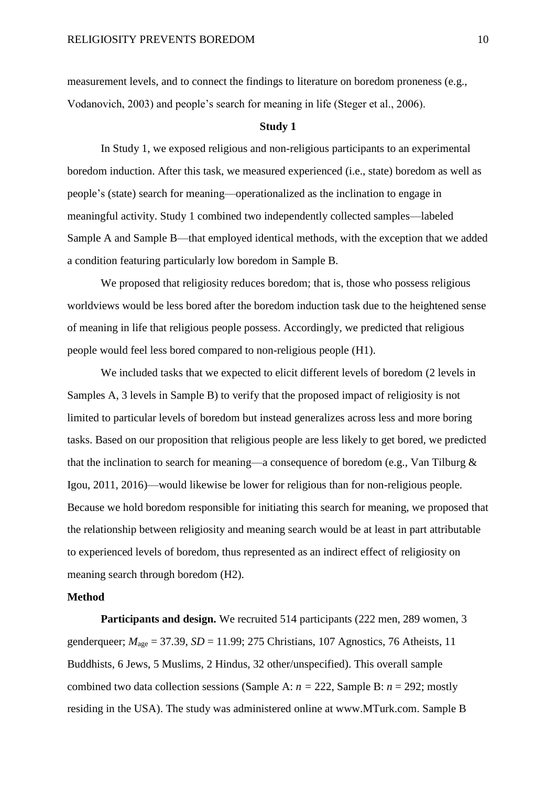measurement levels, and to connect the findings to literature on boredom proneness (e.g., Vodanovich, 2003) and people's search for meaning in life (Steger et al., 2006).

#### **Study 1**

In Study 1, we exposed religious and non-religious participants to an experimental boredom induction. After this task, we measured experienced (i.e., state) boredom as well as people's (state) search for meaning—operationalized as the inclination to engage in meaningful activity. Study 1 combined two independently collected samples—labeled Sample A and Sample B—that employed identical methods, with the exception that we added a condition featuring particularly low boredom in Sample B.

We proposed that religiosity reduces boredom; that is, those who possess religious worldviews would be less bored after the boredom induction task due to the heightened sense of meaning in life that religious people possess. Accordingly, we predicted that religious people would feel less bored compared to non-religious people (H1).

We included tasks that we expected to elicit different levels of boredom (2 levels in Samples A, 3 levels in Sample B) to verify that the proposed impact of religiosity is not limited to particular levels of boredom but instead generalizes across less and more boring tasks. Based on our proposition that religious people are less likely to get bored, we predicted that the inclination to search for meaning—a consequence of boredom (e.g., Van Tilburg  $\&$ Igou, 2011, 2016)—would likewise be lower for religious than for non-religious people. Because we hold boredom responsible for initiating this search for meaning, we proposed that the relationship between religiosity and meaning search would be at least in part attributable to experienced levels of boredom, thus represented as an indirect effect of religiosity on meaning search through boredom (H2).

## **Method**

Participants and design. We recruited 514 participants (222 men, 289 women, 3 genderqueer;  $M_{\text{age}} = 37.39$ ,  $SD = 11.99$ ; 275 Christians, 107 Agnostics, 76 Atheists, 11 Buddhists, 6 Jews, 5 Muslims, 2 Hindus, 32 other/unspecified). This overall sample combined two data collection sessions (Sample A:  $n = 222$ , Sample B:  $n = 292$ ; mostly residing in the USA). The study was administered online at www.MTurk.com. Sample B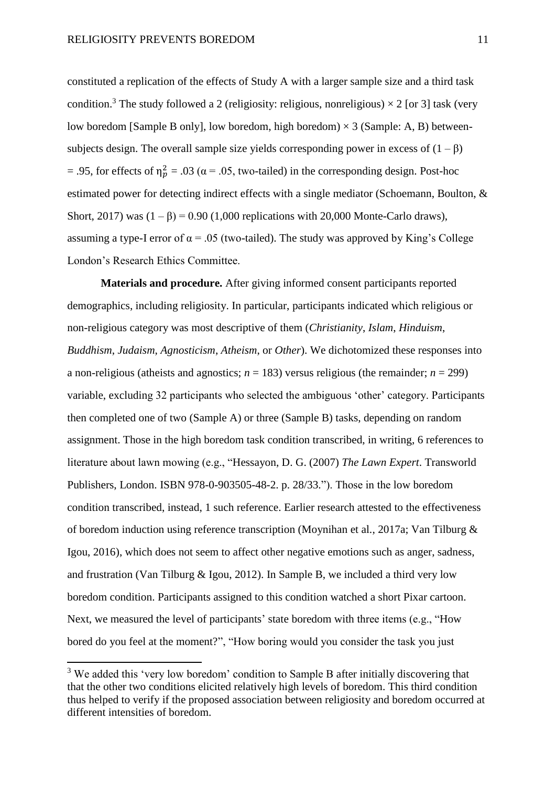constituted a replication of the effects of Study A with a larger sample size and a third task condition.<sup>3</sup> The study followed a 2 (religiosity: religious, nonreligious)  $\times$  2 [or 3] task (very low boredom [Sample B only], low boredom, high boredom)  $\times$  3 (Sample: A, B) betweensubjects design. The overall sample size yields corresponding power in excess of  $(1 - \beta)$ = .95, for effects of  $\eta_p^2$  = .03 ( $\alpha$  = .05, two-tailed) in the corresponding design. Post-hoc estimated power for detecting indirect effects with a single mediator (Schoemann, Boulton, & Short, 2017) was  $(1 - \beta) = 0.90$  (1,000 replications with 20,000 Monte-Carlo draws), assuming a type-I error of  $\alpha$  = .05 (two-tailed). The study was approved by King's College London's Research Ethics Committee.

**Materials and procedure.** After giving informed consent participants reported demographics, including religiosity. In particular, participants indicated which religious or non-religious category was most descriptive of them (*Christianity*, *Islam*, *Hinduism*, *Buddhism*, *Judaism*, *Agnosticism*, *Atheism*, or *Other*). We dichotomized these responses into a non-religious (atheists and agnostics;  $n = 183$ ) versus religious (the remainder;  $n = 299$ ) variable, excluding 32 participants who selected the ambiguous 'other' category. Participants then completed one of two (Sample A) or three (Sample B) tasks, depending on random assignment. Those in the high boredom task condition transcribed, in writing, 6 references to literature about lawn mowing (e.g., "Hessayon, D. G. (2007) *The Lawn Expert*. Transworld Publishers, London. ISBN 978-0-903505-48-2. p. 28/33."). Those in the low boredom condition transcribed, instead, 1 such reference. Earlier research attested to the effectiveness of boredom induction using reference transcription (Moynihan et al., 2017a; Van Tilburg & Igou, 2016), which does not seem to affect other negative emotions such as anger, sadness, and frustration (Van Tilburg & Igou, 2012). In Sample B, we included a third very low boredom condition. Participants assigned to this condition watched a short Pixar cartoon. Next, we measured the level of participants' state boredom with three items (e.g., "How bored do you feel at the moment?", "How boring would you consider the task you just

 $\overline{a}$ 

<sup>&</sup>lt;sup>3</sup> We added this 'very low boredom' condition to Sample B after initially discovering that that the other two conditions elicited relatively high levels of boredom. This third condition thus helped to verify if the proposed association between religiosity and boredom occurred at different intensities of boredom.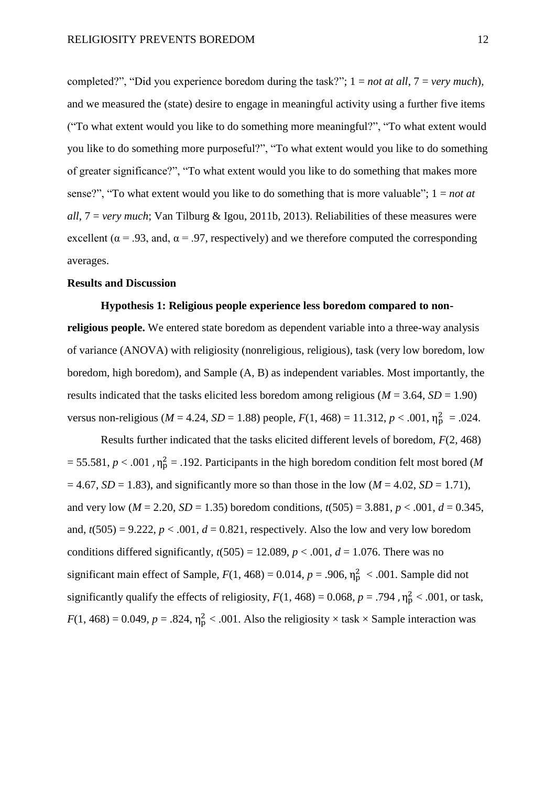completed?", "Did you experience boredom during the task?"; 1 = *not at all*, 7 = *very much*), and we measured the (state) desire to engage in meaningful activity using a further five items ("To what extent would you like to do something more meaningful?", "To what extent would you like to do something more purposeful?", "To what extent would you like to do something of greater significance?", "To what extent would you like to do something that makes more sense?", "To what extent would you like to do something that is more valuable"; 1 = *not at all*, 7 = *very much*; Van Tilburg & Igou, 2011b, 2013). Reliabilities of these measures were excellent ( $\alpha$  = .93, and,  $\alpha$  = .97, respectively) and we therefore computed the corresponding averages.

# **Results and Discussion**

## **Hypothesis 1: Religious people experience less boredom compared to non-**

**religious people.** We entered state boredom as dependent variable into a three-way analysis of variance (ANOVA) with religiosity (nonreligious, religious), task (very low boredom, low boredom, high boredom), and Sample (A, B) as independent variables. Most importantly, the results indicated that the tasks elicited less boredom among religious ( $M = 3.64$ ,  $SD = 1.90$ ) versus non-religious ( $M = 4.24$ ,  $SD = 1.88$ ) people,  $F(1, 468) = 11.312$ ,  $p < .001$ ,  $\eta_p^2 = .024$ .

Results further indicated that the tasks elicited different levels of boredom, *F*(2, 468)  $=$  55.581,  $p < .001$ ,  $\eta_p^2 = .192$ . Participants in the high boredom condition felt most bored (*M*  $= 4.67$ , *SD* = 1.83), and significantly more so than those in the low (*M* = 4.02, *SD* = 1.71), and very low ( $M = 2.20$ ,  $SD = 1.35$ ) boredom conditions,  $t(505) = 3.881$ ,  $p < .001$ ,  $d = 0.345$ , and,  $t(505) = 9.222$ ,  $p < .001$ ,  $d = 0.821$ , respectively. Also the low and very low boredom conditions differed significantly,  $t(505) = 12.089$ ,  $p < .001$ ,  $d = 1.076$ . There was no significant main effect of Sample,  $F(1, 468) = 0.014$ ,  $p = .906$ ,  $\eta_p^2 < .001$ . Sample did not significantly qualify the effects of religiosity,  $F(1, 468) = 0.068$ ,  $p = .794$ ,  $\eta_p^2 < .001$ , or task,  $F(1, 468) = 0.049$ ,  $p = .824$ ,  $\eta_p^2 < .001$ . Also the religiosity  $\times$  task  $\times$  Sample interaction was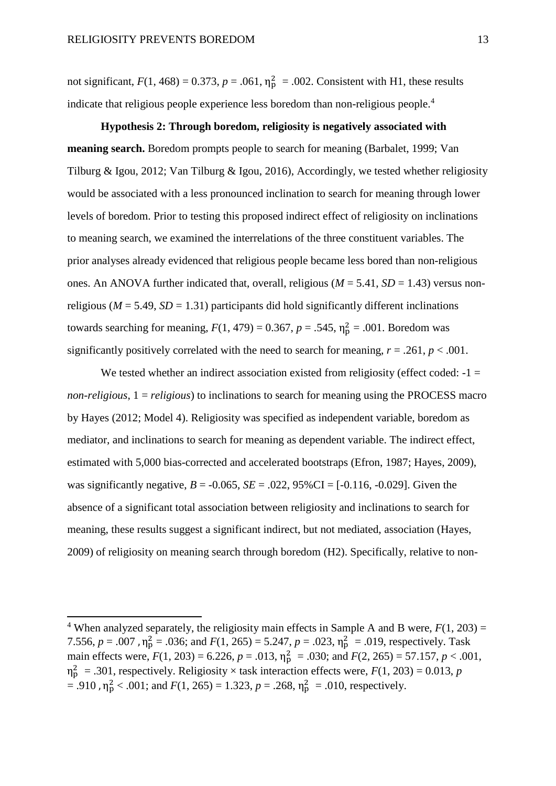1

not significant,  $F(1, 468) = 0.373$ ,  $p = .061$ ,  $\eta_p^2 = .002$ . Consistent with H1, these results indicate that religious people experience less boredom than non-religious people. 4

**Hypothesis 2: Through boredom, religiosity is negatively associated with meaning search.** Boredom prompts people to search for meaning (Barbalet, 1999; Van Tilburg & Igou, 2012; Van Tilburg & Igou, 2016), Accordingly, we tested whether religiosity would be associated with a less pronounced inclination to search for meaning through lower levels of boredom. Prior to testing this proposed indirect effect of religiosity on inclinations to meaning search, we examined the interrelations of the three constituent variables. The prior analyses already evidenced that religious people became less bored than non-religious ones. An ANOVA further indicated that, overall, religious ( $M = 5.41$ ,  $SD = 1.43$ ) versus nonreligious ( $M = 5.49$ ,  $SD = 1.31$ ) participants did hold significantly different inclinations towards searching for meaning,  $F(1, 479) = 0.367$ ,  $p = .545$ ,  $\eta_p^2 = .001$ . Boredom was significantly positively correlated with the need to search for meaning,  $r = .261$ ,  $p < .001$ .

We tested whether an indirect association existed from religiosity (effect coded:  $-1 =$ *non-religious*, 1 = *religious*) to inclinations to search for meaning using the PROCESS macro by Hayes (2012; Model 4). Religiosity was specified as independent variable, boredom as mediator, and inclinations to search for meaning as dependent variable. The indirect effect, estimated with 5,000 bias-corrected and accelerated bootstraps (Efron, 1987; Hayes, 2009), was significantly negative,  $B = -0.065$ ,  $SE = .022$ ,  $95\%$ CI = [-0.116, -0.029]. Given the absence of a significant total association between religiosity and inclinations to search for meaning, these results suggest a significant indirect, but not mediated, association (Hayes, 2009) of religiosity on meaning search through boredom (H2). Specifically, relative to non-

<sup>&</sup>lt;sup>4</sup> When analyzed separately, the religiosity main effects in Sample A and B were,  $F(1, 203) =$ 7.556,  $p = .007$ ,  $\eta_p^2 = .036$ ; and  $F(1, 265) = 5.247$ ,  $p = .023$ ,  $\eta_p^2 = .019$ , respectively. Task main effects were,  $F(1, 203) = 6.226$ ,  $p = .013$ ,  $\eta_p^2 = .030$ ; and  $F(2, 265) = 57.157$ ,  $p < .001$ ,  $\eta_p^2$  = .301, respectively. Religiosity  $\times$  task interaction effects were,  $F(1, 203) = 0.013$ , *p*  $= .910$ ,  $\eta_{\rm p}^2 < .001$ ; and  $F(1, 265) = 1.323$ ,  $p = .268$ ,  $\eta_{\rm p}^2 = .010$ , respectively.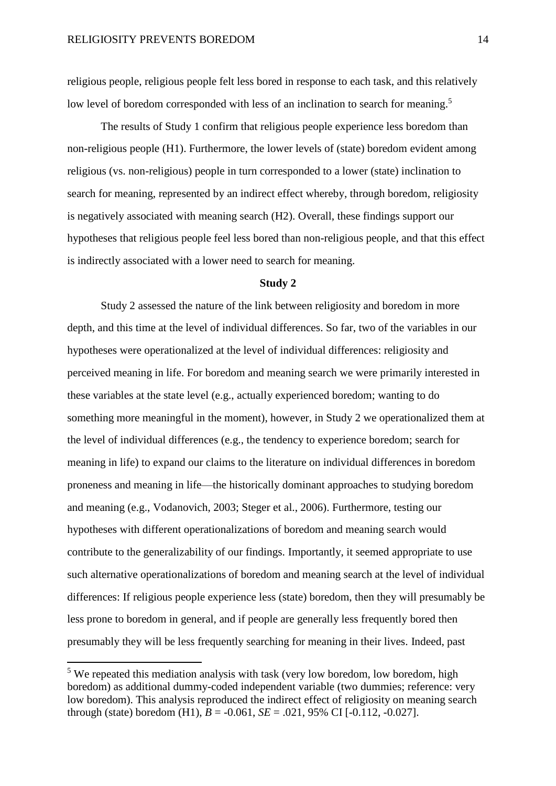religious people, religious people felt less bored in response to each task, and this relatively low level of boredom corresponded with less of an inclination to search for meaning.<sup>5</sup>

The results of Study 1 confirm that religious people experience less boredom than non-religious people (H1). Furthermore, the lower levels of (state) boredom evident among religious (vs. non-religious) people in turn corresponded to a lower (state) inclination to search for meaning, represented by an indirect effect whereby, through boredom, religiosity is negatively associated with meaning search (H2). Overall, these findings support our hypotheses that religious people feel less bored than non-religious people, and that this effect is indirectly associated with a lower need to search for meaning.

## **Study 2**

Study 2 assessed the nature of the link between religiosity and boredom in more depth, and this time at the level of individual differences. So far, two of the variables in our hypotheses were operationalized at the level of individual differences: religiosity and perceived meaning in life. For boredom and meaning search we were primarily interested in these variables at the state level (e.g., actually experienced boredom; wanting to do something more meaningful in the moment), however, in Study 2 we operationalized them at the level of individual differences (e.g., the tendency to experience boredom; search for meaning in life) to expand our claims to the literature on individual differences in boredom proneness and meaning in life—the historically dominant approaches to studying boredom and meaning (e.g., Vodanovich, 2003; Steger et al., 2006). Furthermore, testing our hypotheses with different operationalizations of boredom and meaning search would contribute to the generalizability of our findings. Importantly, it seemed appropriate to use such alternative operationalizations of boredom and meaning search at the level of individual differences: If religious people experience less (state) boredom, then they will presumably be less prone to boredom in general, and if people are generally less frequently bored then presumably they will be less frequently searching for meaning in their lives. Indeed, past

 $\overline{a}$ 

<sup>&</sup>lt;sup>5</sup> We repeated this mediation analysis with task (very low boredom, low boredom, high boredom) as additional dummy-coded independent variable (two dummies; reference: very low boredom). This analysis reproduced the indirect effect of religiosity on meaning search through (state) boredom (H1),  $B = -0.061$ ,  $SE = .021$ , 95% CI [-0.112, -0.027].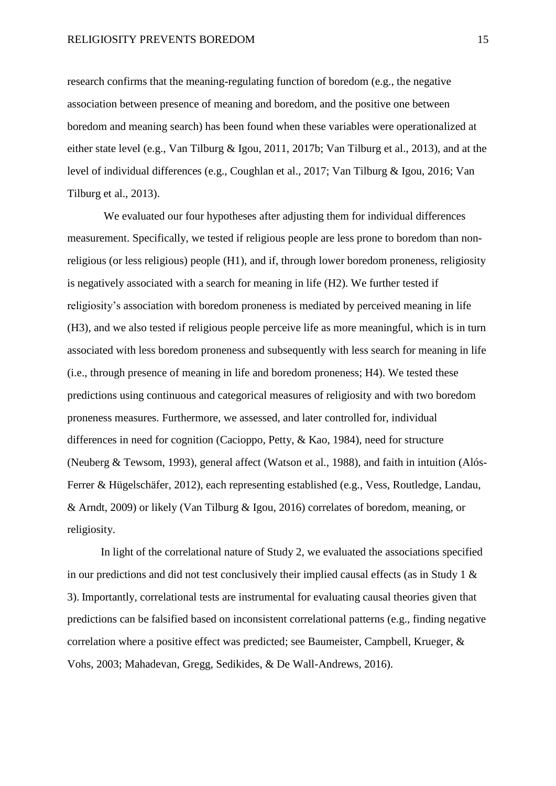research confirms that the meaning-regulating function of boredom (e.g., the negative association between presence of meaning and boredom, and the positive one between boredom and meaning search) has been found when these variables were operationalized at either state level (e.g., Van Tilburg & Igou, 2011, 2017b; Van Tilburg et al., 2013), and at the level of individual differences (e.g., Coughlan et al., 2017; Van Tilburg & Igou, 2016; Van Tilburg et al., 2013).

We evaluated our four hypotheses after adjusting them for individual differences measurement. Specifically, we tested if religious people are less prone to boredom than nonreligious (or less religious) people (H1), and if, through lower boredom proneness, religiosity is negatively associated with a search for meaning in life (H2). We further tested if religiosity's association with boredom proneness is mediated by perceived meaning in life (H3), and we also tested if religious people perceive life as more meaningful, which is in turn associated with less boredom proneness and subsequently with less search for meaning in life (i.e., through presence of meaning in life and boredom proneness; H4). We tested these predictions using continuous and categorical measures of religiosity and with two boredom proneness measures. Furthermore, we assessed, and later controlled for, individual differences in need for cognition (Cacioppo, Petty, & Kao, 1984), need for structure (Neuberg & Tewsom, 1993), general affect (Watson et al., 1988), and faith in intuition (Alós-Ferrer & Hügelschäfer, 2012), each representing established (e.g., Vess, Routledge, Landau, & Arndt, 2009) or likely (Van Tilburg & Igou, 2016) correlates of boredom, meaning, or religiosity.

In light of the correlational nature of Study 2, we evaluated the associations specified in our predictions and did not test conclusively their implied causal effects (as in Study 1  $\&$ 3). Importantly, correlational tests are instrumental for evaluating causal theories given that predictions can be falsified based on inconsistent correlational patterns (e.g., finding negative correlation where a positive effect was predicted; see Baumeister, Campbell, Krueger, & Vohs, 2003; Mahadevan, Gregg, Sedikides, & De Wall-Andrews, 2016).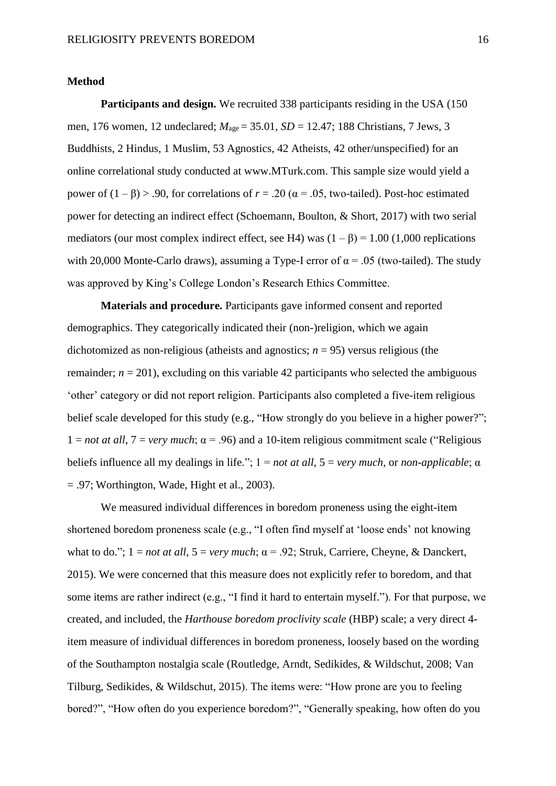#### **Method**

**Participants and design.** We recruited 338 participants residing in the USA (150 men, 176 women, 12 undeclared;  $M_{\text{age}} = 35.01$ ,  $SD = 12.47$ ; 188 Christians, 7 Jews, 3 Buddhists, 2 Hindus, 1 Muslim, 53 Agnostics, 42 Atheists, 42 other/unspecified) for an online correlational study conducted at www.MTurk.com. This sample size would yield a power of  $(1 - \beta) > .90$ , for correlations of  $r = .20$  ( $\alpha = .05$ , two-tailed). Post-hoc estimated power for detecting an indirect effect (Schoemann, Boulton, & Short, 2017) with two serial mediators (our most complex indirect effect, see H4) was  $(1 - \beta) = 1.00$  (1,000 replications with 20,000 Monte-Carlo draws), assuming a Type-I error of  $\alpha$  = .05 (two-tailed). The study was approved by King's College London's Research Ethics Committee.

**Materials and procedure.** Participants gave informed consent and reported demographics. They categorically indicated their (non-)religion, which we again dichotomized as non-religious (atheists and agnostics; *n* = 95) versus religious (the remainder;  $n = 201$ ), excluding on this variable 42 participants who selected the ambiguous 'other' category or did not report religion. Participants also completed a five-item religious belief scale developed for this study (e.g., "How strongly do you believe in a higher power?"; 1 = *not at all*, 7 = *very much*; α = .96) and a 10-item religious commitment scale ("Religious beliefs influence all my dealings in life."; 1 = *not at all*, 5 = *very much,* or *non-applicable*; α  $= .97$ ; Worthington, Wade, Hight et al., 2003).

We measured individual differences in boredom proneness using the eight-item shortened boredom proneness scale (e.g., "I often find myself at 'loose ends' not knowing what to do.";  $1 = not$  *at all*,  $5 = very$  *much*;  $\alpha = .92$ ; Struk, Carriere, Cheyne, & Danckert, 2015). We were concerned that this measure does not explicitly refer to boredom, and that some items are rather indirect (e.g., "I find it hard to entertain myself."). For that purpose, we created, and included, the *Harthouse boredom proclivity scale* (HBP) scale; a very direct 4 item measure of individual differences in boredom proneness, loosely based on the wording of the Southampton nostalgia scale (Routledge, Arndt, Sedikides, & Wildschut, 2008; Van Tilburg, Sedikides, & Wildschut, 2015). The items were: "How prone are you to feeling bored?", "How often do you experience boredom?", "Generally speaking, how often do you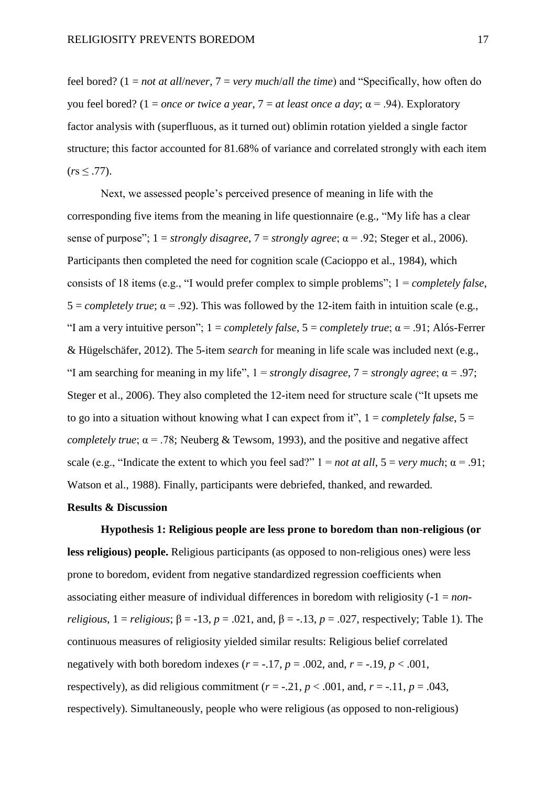feel bored? (1 = *not at all*/*never*, 7 = *very much*/*all the time*) and "Specifically, how often do you feel bored? (1 = *once or twice a year*, 7 = *at least once a day*; α = .94). Exploratory factor analysis with (superfluous, as it turned out) oblimin rotation yielded a single factor structure; this factor accounted for 81.68% of variance and correlated strongly with each item  $(rs \leq .77)$ .

Next, we assessed people's perceived presence of meaning in life with the corresponding five items from the meaning in life questionnaire (e.g., "My life has a clear sense of purpose"; 1 = *strongly disagree*, 7 = *strongly agree*; α = .92; Steger et al., 2006). Participants then completed the need for cognition scale (Cacioppo et al., 1984), which consists of 18 items (e.g., "I would prefer complex to simple problems"; 1 = *completely false*,  $5 = \text{completely true}; \alpha = .92$ ). This was followed by the 12-item faith in intuition scale (e.g., "I am a very intuitive person";  $1 = \text{completely false}, 5 = \text{completely true}; \alpha = .91; \text{ Alós-Ferrer}$ & Hügelschäfer, 2012). The 5-item *search* for meaning in life scale was included next (e.g., "I am searching for meaning in my life",  $1 =$  *strongly disagree*,  $7 =$  *strongly agree*;  $\alpha = .97$ ; Steger et al., 2006). They also completed the 12-item need for structure scale ("It upsets me to go into a situation without knowing what I can expect from it",  $1 = completely false$ ,  $5 =$ *completely true*;  $\alpha = 0.78$ ; Neuberg & Tewsom, 1993), and the positive and negative affect scale (e.g., "Indicate the extent to which you feel sad?"  $1 = not at all$ ,  $5 = very much$ ;  $\alpha = .91$ ; Watson et al., 1988). Finally, participants were debriefed, thanked, and rewarded.

## **Results & Discussion**

**Hypothesis 1: Religious people are less prone to boredom than non-religious (or less religious) people.** Religious participants (as opposed to non-religious ones) were less prone to boredom, evident from negative standardized regression coefficients when associating either measure of individual differences in boredom with religiosity (-1 = *nonreligious*,  $1 =$  *religious*;  $\beta = -13$ ,  $p = .021$ , and,  $\beta = -13$ ,  $p = .027$ , respectively; Table 1). The continuous measures of religiosity yielded similar results: Religious belief correlated negatively with both boredom indexes ( $r = -17$ ,  $p = .002$ , and,  $r = -19$ ,  $p < .001$ , respectively), as did religious commitment ( $r = -0.21$ ,  $p < .001$ , and,  $r = -0.11$ ,  $p = .043$ , respectively). Simultaneously, people who were religious (as opposed to non-religious)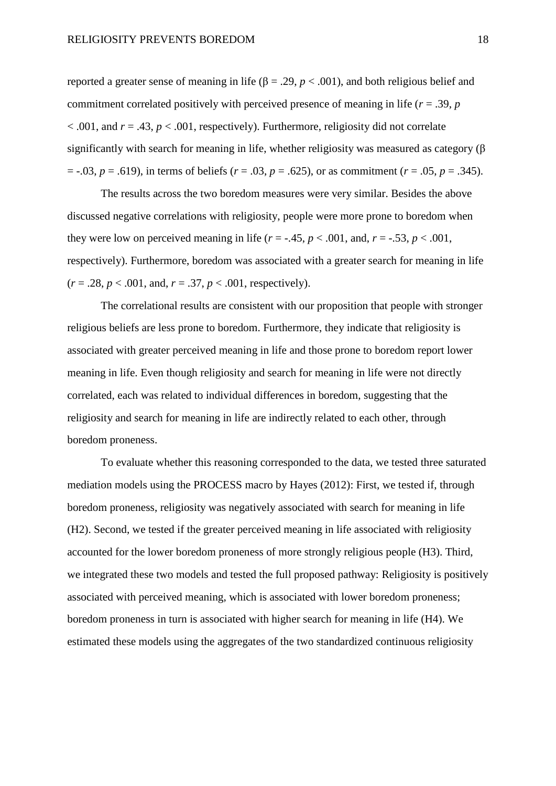reported a greater sense of meaning in life ( $β = .29, p < .001$ ), and both religious belief and commitment correlated positively with perceived presence of meaning in life (*r* = .39, *p*  $\alpha$  < .001, and  $r = .43$ ,  $p < .001$ , respectively). Furthermore, religiosity did not correlate significantly with search for meaning in life, whether religiosity was measured as category ( $\beta$ )  $=$  -.03,  $p = .619$ ), in terms of beliefs ( $r = .03$ ,  $p = .625$ ), or as commitment ( $r = .05$ ,  $p = .345$ ).

The results across the two boredom measures were very similar. Besides the above discussed negative correlations with religiosity, people were more prone to boredom when they were low on perceived meaning in life  $(r = -.45, p < .001,$  and,  $r = -.53, p < .001,$ respectively). Furthermore, boredom was associated with a greater search for meaning in life  $(r = .28, p < .001, \text{ and}, r = .37, p < .001, \text{ respectively}).$ 

The correlational results are consistent with our proposition that people with stronger religious beliefs are less prone to boredom. Furthermore, they indicate that religiosity is associated with greater perceived meaning in life and those prone to boredom report lower meaning in life. Even though religiosity and search for meaning in life were not directly correlated, each was related to individual differences in boredom, suggesting that the religiosity and search for meaning in life are indirectly related to each other, through boredom proneness.

To evaluate whether this reasoning corresponded to the data, we tested three saturated mediation models using the PROCESS macro by Hayes (2012): First, we tested if, through boredom proneness, religiosity was negatively associated with search for meaning in life (H2). Second, we tested if the greater perceived meaning in life associated with religiosity accounted for the lower boredom proneness of more strongly religious people (H3). Third, we integrated these two models and tested the full proposed pathway: Religiosity is positively associated with perceived meaning, which is associated with lower boredom proneness; boredom proneness in turn is associated with higher search for meaning in life (H4). We estimated these models using the aggregates of the two standardized continuous religiosity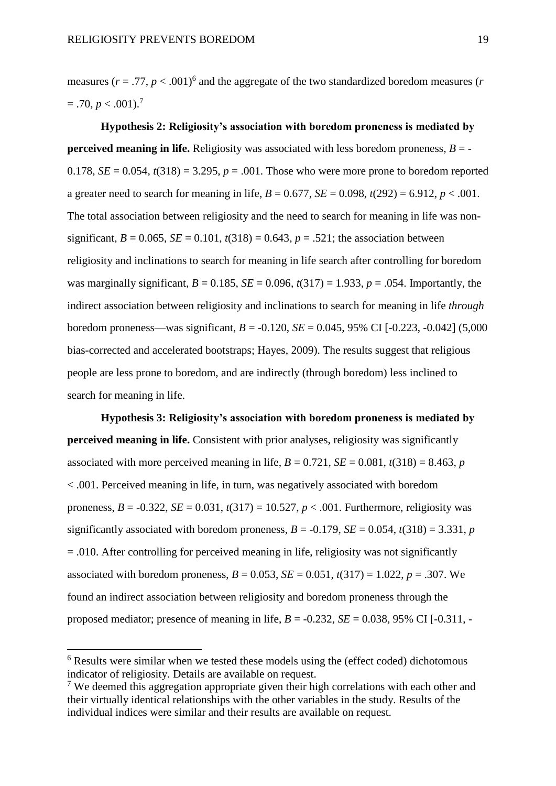measures ( $r = .77$ ,  $p < .001$ )<sup>6</sup> and the aggregate of the two standardized boredom measures (*r*  $= .70, p < .001$ )<sup>7</sup>

**Hypothesis 2: Religiosity's association with boredom proneness is mediated by perceived meaning in life.** Religiosity was associated with less boredom proneness,  $B = -$ 0.178,  $SE = 0.054$ ,  $t(318) = 3.295$ ,  $p = .001$ . Those who were more prone to boredom reported a greater need to search for meaning in life,  $B = 0.677$ ,  $SE = 0.098$ ,  $t(292) = 6.912$ ,  $p < .001$ . The total association between religiosity and the need to search for meaning in life was nonsignificant,  $B = 0.065$ ,  $SE = 0.101$ ,  $t(318) = 0.643$ ,  $p = .521$ ; the association between religiosity and inclinations to search for meaning in life search after controlling for boredom was marginally significant,  $B = 0.185$ ,  $SE = 0.096$ ,  $t(317) = 1.933$ ,  $p = .054$ . Importantly, the indirect association between religiosity and inclinations to search for meaning in life *through* boredom proneness—was significant, *B* = -0.120, *SE* = 0.045, 95% CI [-0.223, -0.042] (5,000 bias-corrected and accelerated bootstraps; Hayes, 2009). The results suggest that religious people are less prone to boredom, and are indirectly (through boredom) less inclined to search for meaning in life.

**Hypothesis 3: Religiosity's association with boredom proneness is mediated by perceived meaning in life.** Consistent with prior analyses, religiosity was significantly associated with more perceived meaning in life,  $B = 0.721$ ,  $SE = 0.081$ ,  $t(318) = 8.463$ , *p* < .001. Perceived meaning in life, in turn, was negatively associated with boredom proneness,  $B = -0.322$ ,  $SE = 0.031$ ,  $t(317) = 10.527$ ,  $p < .001$ . Furthermore, religiosity was significantly associated with boredom proneness,  $B = -0.179$ ,  $SE = 0.054$ ,  $t(318) = 3.331$ , *p*  $= .010$ . After controlling for perceived meaning in life, religiosity was not significantly associated with boredom proneness,  $B = 0.053$ ,  $SE = 0.051$ ,  $t(317) = 1.022$ ,  $p = .307$ . We found an indirect association between religiosity and boredom proneness through the proposed mediator; presence of meaning in life,  $B = -0.232$ ,  $SE = 0.038$ , 95% CI [ $-0.311$ ,  $-0.311$ ]

**.** 

<sup>&</sup>lt;sup>6</sup> Results were similar when we tested these models using the (effect coded) dichotomous indicator of religiosity. Details are available on request.

<sup>7</sup> We deemed this aggregation appropriate given their high correlations with each other and their virtually identical relationships with the other variables in the study. Results of the individual indices were similar and their results are available on request.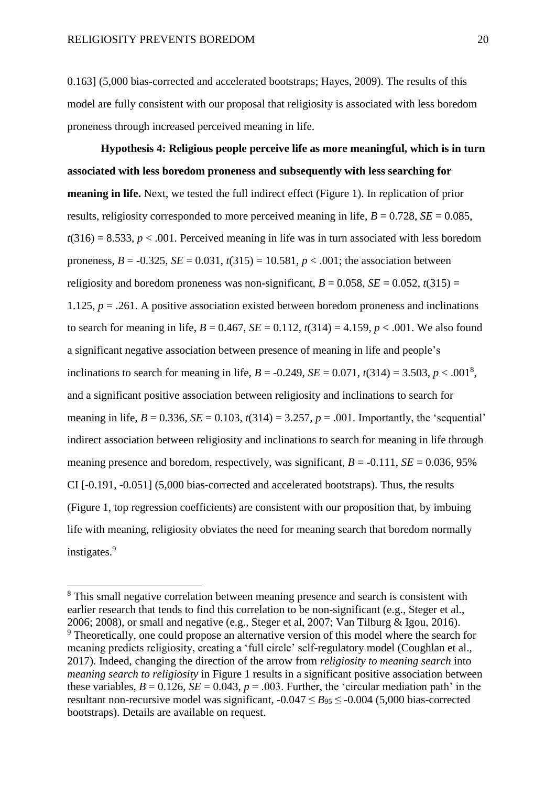**.** 

0.163] (5,000 bias-corrected and accelerated bootstraps; Hayes, 2009). The results of this model are fully consistent with our proposal that religiosity is associated with less boredom proneness through increased perceived meaning in life.

**Hypothesis 4: Religious people perceive life as more meaningful, which is in turn associated with less boredom proneness and subsequently with less searching for meaning in life.** Next, we tested the full indirect effect (Figure 1). In replication of prior results, religiosity corresponded to more perceived meaning in life,  $B = 0.728$ ,  $SE = 0.085$ ,  $t(316) = 8.533, p < .001$ . Perceived meaning in life was in turn associated with less boredom proneness,  $B = -0.325$ ,  $SE = 0.031$ ,  $t(315) = 10.581$ ,  $p < .001$ ; the association between religiosity and boredom proneness was non-significant,  $B = 0.058$ ,  $SE = 0.052$ ,  $t(315) =$ 1.125, *p* = .261. A positive association existed between boredom proneness and inclinations to search for meaning in life,  $B = 0.467$ ,  $SE = 0.112$ ,  $t(314) = 4.159$ ,  $p < .001$ . We also found a significant negative association between presence of meaning in life and people's inclinations to search for meaning in life,  $B = -0.249$ ,  $SE = 0.071$ ,  $t(314) = 3.503$ ,  $p < .001^8$ , and a significant positive association between religiosity and inclinations to search for meaning in life,  $B = 0.336$ ,  $SE = 0.103$ ,  $t(314) = 3.257$ ,  $p = .001$ . Importantly, the 'sequential' indirect association between religiosity and inclinations to search for meaning in life through meaning presence and boredom, respectively, was significant,  $B = -0.111$ ,  $SE = 0.036$ , 95% CI [-0.191, -0.051] (5,000 bias-corrected and accelerated bootstraps). Thus, the results (Figure 1, top regression coefficients) are consistent with our proposition that, by imbuing life with meaning, religiosity obviates the need for meaning search that boredom normally instigates.<sup>9</sup>

<sup>&</sup>lt;sup>8</sup> This small negative correlation between meaning presence and search is consistent with earlier research that tends to find this correlation to be non-significant (e.g., Steger et al., 2006; 2008), or small and negative (e.g., Steger et al, 2007; Van Tilburg & Igou, 2016). <sup>9</sup> Theoretically, one could propose an alternative version of this model where the search for meaning predicts religiosity, creating a 'full circle' self-regulatory model (Coughlan et al., 2017). Indeed, changing the direction of the arrow from *religiosity to meaning search* into *meaning search to religiosity* in Figure 1 results in a significant positive association between these variables,  $B = 0.126$ ,  $SE = 0.043$ ,  $p = .003$ . Further, the 'circular mediation path' in the resultant non-recursive model was significant,  $-0.047 \leq B_{95} \leq -0.004$  (5,000 bias-corrected bootstraps). Details are available on request.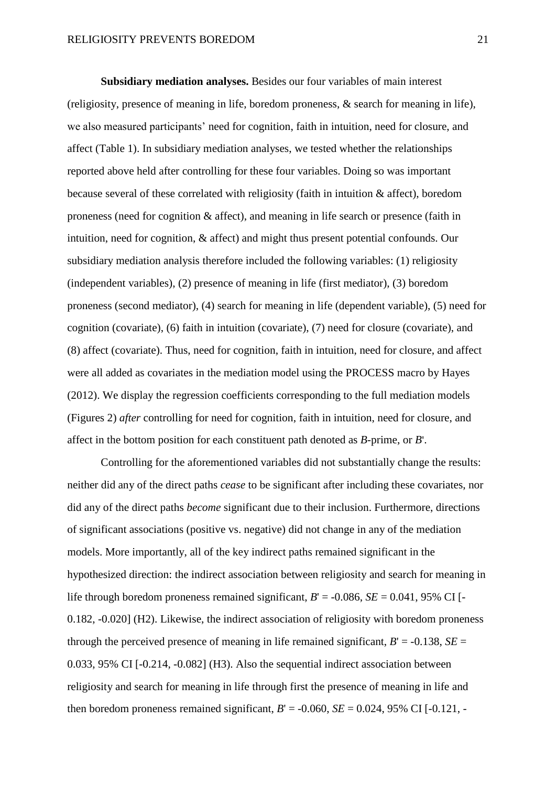**Subsidiary mediation analyses.** Besides our four variables of main interest (religiosity, presence of meaning in life, boredom proneness, & search for meaning in life), we also measured participants' need for cognition, faith in intuition, need for closure, and affect (Table 1). In subsidiary mediation analyses, we tested whether the relationships reported above held after controlling for these four variables. Doing so was important because several of these correlated with religiosity (faith in intuition & affect), boredom proneness (need for cognition & affect), and meaning in life search or presence (faith in intuition, need for cognition, & affect) and might thus present potential confounds. Our subsidiary mediation analysis therefore included the following variables: (1) religiosity (independent variables), (2) presence of meaning in life (first mediator), (3) boredom proneness (second mediator), (4) search for meaning in life (dependent variable), (5) need for cognition (covariate), (6) faith in intuition (covariate), (7) need for closure (covariate), and (8) affect (covariate). Thus, need for cognition, faith in intuition, need for closure, and affect were all added as covariates in the mediation model using the PROCESS macro by Hayes (2012). We display the regression coefficients corresponding to the full mediation models (Figures 2) *after* controlling for need for cognition, faith in intuition, need for closure, and affect in the bottom position for each constituent path denoted as *B*-prime, or *B*'.

Controlling for the aforementioned variables did not substantially change the results: neither did any of the direct paths *cease* to be significant after including these covariates, nor did any of the direct paths *become* significant due to their inclusion. Furthermore, directions of significant associations (positive vs. negative) did not change in any of the mediation models. More importantly, all of the key indirect paths remained significant in the hypothesized direction: the indirect association between religiosity and search for meaning in life through boredom proneness remained significant,  $B' = -0.086$ ,  $SE = 0.041$ , 95% CI [-0.182, -0.020] (H2). Likewise, the indirect association of religiosity with boredom proneness through the perceived presence of meaning in life remained significant,  $B' = -0.138$ ,  $SE =$ 0.033, 95% CI [-0.214, -0.082] (H3). Also the sequential indirect association between religiosity and search for meaning in life through first the presence of meaning in life and then boredom proneness remained significant,  $B' = -0.060$ ,  $SE = 0.024$ , 95% CI [-0.121, -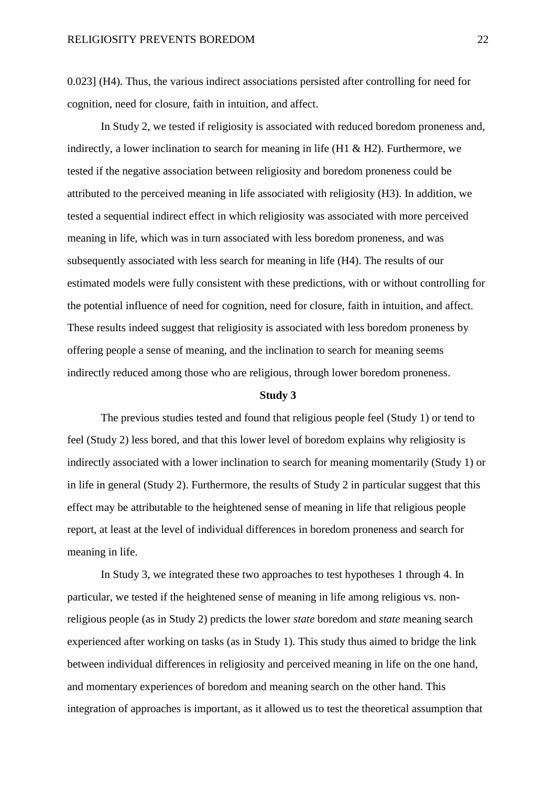0.023] (H4). Thus, the various indirect associations persisted after controlling for need for cognition, need for closure, faith in intuition, and affect.

In Study 2, we tested if religiosity is associated with reduced boredom proneness and, indirectly, a lower inclination to search for meaning in life  $(H1 \& H2)$ . Furthermore, we tested if the negative association between religiosity and boredom proneness could be attributed to the perceived meaning in life associated with religiosity (H3). In addition, we tested a sequential indirect effect in which religiosity was associated with more perceived meaning in life, which was in turn associated with less boredom proneness, and was subsequently associated with less search for meaning in life (H4). The results of our estimated models were fully consistent with these predictions, with or without controlling for the potential influence of need for cognition, need for closure, faith in intuition, and affect. These results indeed suggest that religiosity is associated with less boredom proneness by offering people a sense of meaning, and the inclination to search for meaning seems indirectly reduced among those who are religious, through lower boredom proneness.

## **Study 3**

The previous studies tested and found that religious people feel (Study 1) or tend to feel (Study 2) less bored, and that this lower level of boredom explains why religiosity is indirectly associated with a lower inclination to search for meaning momentarily (Study 1) or in life in general (Study 2). Furthermore, the results of Study 2 in particular suggest that this effect may be attributable to the heightened sense of meaning in life that religious people report, at least at the level of individual differences in boredom proneness and search for meaning in life.

In Study 3, we integrated these two approaches to test hypotheses 1 through 4. In particular, we tested if the heightened sense of meaning in life among religious vs. nonreligious people (as in Study 2) predicts the lower *state* boredom and *state* meaning search experienced after working on tasks (as in Study 1). This study thus aimed to bridge the link between individual differences in religiosity and perceived meaning in life on the one hand, and momentary experiences of boredom and meaning search on the other hand. This integration of approaches is important, as it allowed us to test the theoretical assumption that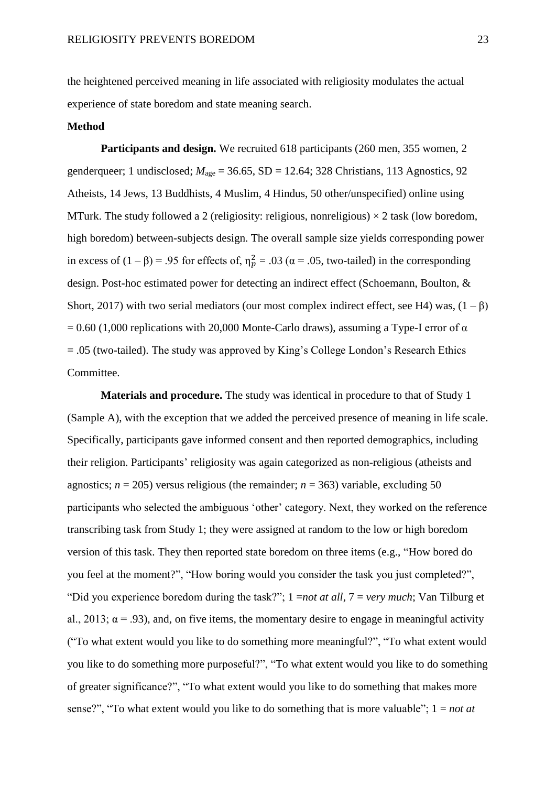the heightened perceived meaning in life associated with religiosity modulates the actual experience of state boredom and state meaning search.

## **Method**

**Participants and design.** We recruited 618 participants (260 men, 355 women, 2 genderqueer; 1 undisclosed; *M*age = 36.65, SD = 12.64; 328 Christians, 113 Agnostics, 92 Atheists, 14 Jews, 13 Buddhists, 4 Muslim, 4 Hindus, 50 other/unspecified) online using MTurk. The study followed a 2 (religiosity: religious, nonreligious)  $\times$  2 task (low boredom, high boredom) between-subjects design. The overall sample size yields corresponding power in excess of  $(1 - \beta) = .95$  for effects of,  $\eta_p^2 = .03$  ( $\alpha = .05$ , two-tailed) in the corresponding design. Post-hoc estimated power for detecting an indirect effect (Schoemann, Boulton, & Short, 2017) with two serial mediators (our most complex indirect effect, see H4) was,  $(1 - \beta)$  $= 0.60$  (1,000 replications with 20,000 Monte-Carlo draws), assuming a Type-I error of  $\alpha$ = .05 (two-tailed). The study was approved by King's College London's Research Ethics Committee.

**Materials and procedure.** The study was identical in procedure to that of Study 1 (Sample A), with the exception that we added the perceived presence of meaning in life scale. Specifically, participants gave informed consent and then reported demographics, including their religion. Participants' religiosity was again categorized as non-religious (atheists and agnostics;  $n = 205$ ) versus religious (the remainder;  $n = 363$ ) variable, excluding 50 participants who selected the ambiguous 'other' category. Next, they worked on the reference transcribing task from Study 1; they were assigned at random to the low or high boredom version of this task. They then reported state boredom on three items (e.g., "How bored do you feel at the moment?", "How boring would you consider the task you just completed?", "Did you experience boredom during the task?"; 1 =*not at all*, 7 = *very much*; Van Tilburg et al., 2013;  $\alpha$  = .93), and, on five items, the momentary desire to engage in meaningful activity ("To what extent would you like to do something more meaningful?", "To what extent would you like to do something more purposeful?", "To what extent would you like to do something of greater significance?", "To what extent would you like to do something that makes more sense?", "To what extent would you like to do something that is more valuable"; 1 = *not at*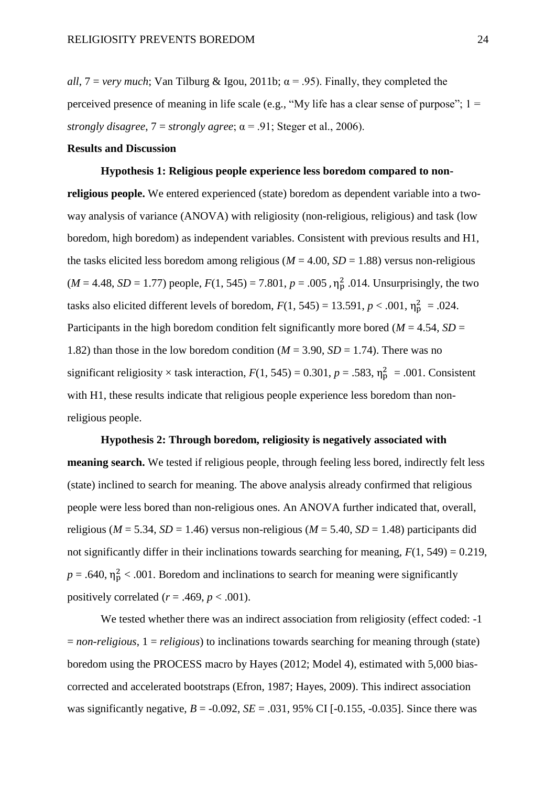*all*,  $7 = \text{very much}$ ; Van Tilburg & Igou, 2011b;  $\alpha = .95$ ). Finally, they completed the perceived presence of meaning in life scale (e.g., "My life has a clear sense of purpose";  $1 =$ *strongly disagree*,  $7 =$  *strongly agree*;  $\alpha = .91$ ; Steger et al., 2006).

## **Results and Discussion**

**Hypothesis 1: Religious people experience less boredom compared to nonreligious people.** We entered experienced (state) boredom as dependent variable into a twoway analysis of variance (ANOVA) with religiosity (non-religious, religious) and task (low boredom, high boredom) as independent variables. Consistent with previous results and H1, the tasks elicited less boredom among religious ( $M = 4.00$ ,  $SD = 1.88$ ) versus non-religious  $(M = 4.48, SD = 1.77)$  people,  $F(1, 545) = 7.801, p = .005$ ,  $\eta_p^2$ .014. Unsurprisingly, the two tasks also elicited different levels of boredom,  $F(1, 545) = 13.591$ ,  $p < .001$ ,  $\eta_p^2 = .024$ . Participants in the high boredom condition felt significantly more bored ( $M = 4.54$ ,  $SD =$ 1.82) than those in the low boredom condition ( $M = 3.90$ ,  $SD = 1.74$ ). There was no significant religiosity  $\times$  task interaction,  $F(1, 545) = 0.301$ ,  $p = .583$ ,  $\eta_p^2 = .001$ . Consistent with H1, these results indicate that religious people experience less boredom than nonreligious people.

#### **Hypothesis 2: Through boredom, religiosity is negatively associated with**

**meaning search.** We tested if religious people, through feeling less bored, indirectly felt less (state) inclined to search for meaning. The above analysis already confirmed that religious people were less bored than non-religious ones. An ANOVA further indicated that, overall, religious ( $M = 5.34$ ,  $SD = 1.46$ ) versus non-religious ( $M = 5.40$ ,  $SD = 1.48$ ) participants did not significantly differ in their inclinations towards searching for meaning,  $F(1, 549) = 0.219$ ,  $p = .640$ ,  $\eta_p^2 < .001$ . Boredom and inclinations to search for meaning were significantly positively correlated  $(r = .469, p < .001)$ .

We tested whether there was an indirect association from religiosity (effect coded: -1 = *non-religious*, 1 = *religious*) to inclinations towards searching for meaning through (state) boredom using the PROCESS macro by Hayes (2012; Model 4), estimated with 5,000 biascorrected and accelerated bootstraps (Efron, 1987; Hayes, 2009). This indirect association was significantly negative,  $B = -0.092$ ,  $SE = .031$ , 95% CI [ $-0.155$ ,  $-0.035$ ]. Since there was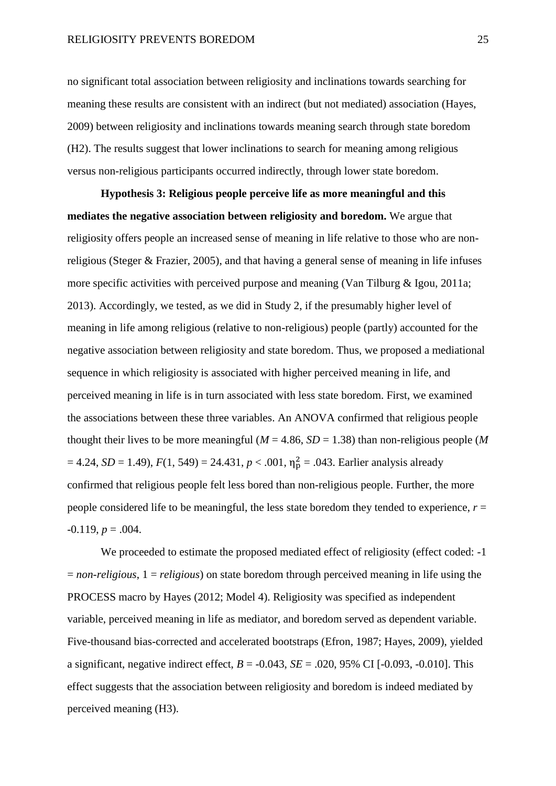no significant total association between religiosity and inclinations towards searching for meaning these results are consistent with an indirect (but not mediated) association (Hayes, 2009) between religiosity and inclinations towards meaning search through state boredom (H2). The results suggest that lower inclinations to search for meaning among religious versus non-religious participants occurred indirectly, through lower state boredom.

**Hypothesis 3: Religious people perceive life as more meaningful and this mediates the negative association between religiosity and boredom.** We argue that religiosity offers people an increased sense of meaning in life relative to those who are nonreligious (Steger & Frazier, 2005), and that having a general sense of meaning in life infuses more specific activities with perceived purpose and meaning (Van Tilburg & Igou, 2011a; 2013). Accordingly, we tested, as we did in Study 2, if the presumably higher level of meaning in life among religious (relative to non-religious) people (partly) accounted for the negative association between religiosity and state boredom. Thus, we proposed a mediational sequence in which religiosity is associated with higher perceived meaning in life, and perceived meaning in life is in turn associated with less state boredom. First, we examined the associations between these three variables. An ANOVA confirmed that religious people thought their lives to be more meaningful ( $M = 4.86$ ,  $SD = 1.38$ ) than non-religious people (M  $= 4.24$ , *SD* = 1.49),  $F(1, 549) = 24.431$ ,  $p < .001$ ,  $\eta_p^2 = .043$ . Earlier analysis already confirmed that religious people felt less bored than non-religious people. Further, the more people considered life to be meaningful, the less state boredom they tended to experience,  $r =$  $-0.119, p = .004.$ 

We proceeded to estimate the proposed mediated effect of religiosity (effect coded: -1 = *non-religious*, 1 = *religious*) on state boredom through perceived meaning in life using the PROCESS macro by Hayes (2012; Model 4). Religiosity was specified as independent variable, perceived meaning in life as mediator, and boredom served as dependent variable. Five-thousand bias-corrected and accelerated bootstraps (Efron, 1987; Hayes, 2009), yielded a significant, negative indirect effect,  $B = -0.043$ ,  $SE = .020$ ,  $95\%$  CI [ $-0.093$ ,  $-0.010$ ]. This effect suggests that the association between religiosity and boredom is indeed mediated by perceived meaning (H3).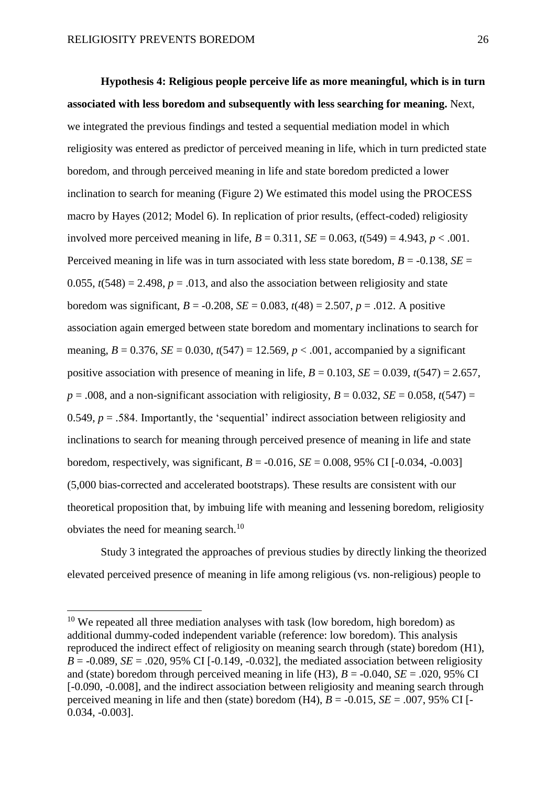1

**Hypothesis 4: Religious people perceive life as more meaningful, which is in turn associated with less boredom and subsequently with less searching for meaning.** Next, we integrated the previous findings and tested a sequential mediation model in which religiosity was entered as predictor of perceived meaning in life, which in turn predicted state boredom, and through perceived meaning in life and state boredom predicted a lower inclination to search for meaning (Figure 2) We estimated this model using the PROCESS macro by Hayes (2012; Model 6). In replication of prior results, (effect-coded) religiosity involved more perceived meaning in life,  $B = 0.311$ ,  $SE = 0.063$ ,  $t(549) = 4.943$ ,  $p < .001$ . Perceived meaning in life was in turn associated with less state boredom,  $B = -0.138$ ,  $SE =$ 0.055,  $t(548) = 2.498$ ,  $p = .013$ , and also the association between religiosity and state boredom was significant,  $B = -0.208$ ,  $SE = 0.083$ ,  $t(48) = 2.507$ ,  $p = .012$ . A positive association again emerged between state boredom and momentary inclinations to search for meaning,  $B = 0.376$ ,  $SE = 0.030$ ,  $t(547) = 12.569$ ,  $p < .001$ , accompanied by a significant positive association with presence of meaning in life,  $B = 0.103$ ,  $SE = 0.039$ ,  $t(547) = 2.657$ ,  $p = .008$ , and a non-significant association with religiosity,  $B = 0.032$ ,  $SE = 0.058$ ,  $t(547) =$ 0.549,  $p = .584$ . Importantly, the 'sequential' indirect association between religiosity and inclinations to search for meaning through perceived presence of meaning in life and state boredom, respectively, was significant, *B* = -0.016, *SE* = 0.008, 95% CI [-0.034, -0.003] (5,000 bias-corrected and accelerated bootstraps). These results are consistent with our theoretical proposition that, by imbuing life with meaning and lessening boredom, religiosity obviates the need for meaning search.<sup>10</sup>

Study 3 integrated the approaches of previous studies by directly linking the theorized elevated perceived presence of meaning in life among religious (vs. non-religious) people to

 $10$  We repeated all three mediation analyses with task (low boredom, high boredom) as additional dummy-coded independent variable (reference: low boredom). This analysis reproduced the indirect effect of religiosity on meaning search through (state) boredom (H1),  $B = -0.089$ ,  $SE = .020$ , 95% CI [ $-0.149$ ,  $-0.032$ ], the mediated association between religiosity and (state) boredom through perceived meaning in life (H3),  $B = -0.040$ ,  $SE = .020$ , 95% CI [-0.090, -0.008], and the indirect association between religiosity and meaning search through perceived meaning in life and then (state) boredom  $(H4)$ ,  $B = -0.015$ ,  $SE = .007$ , 95% CI [-0.034, -0.003].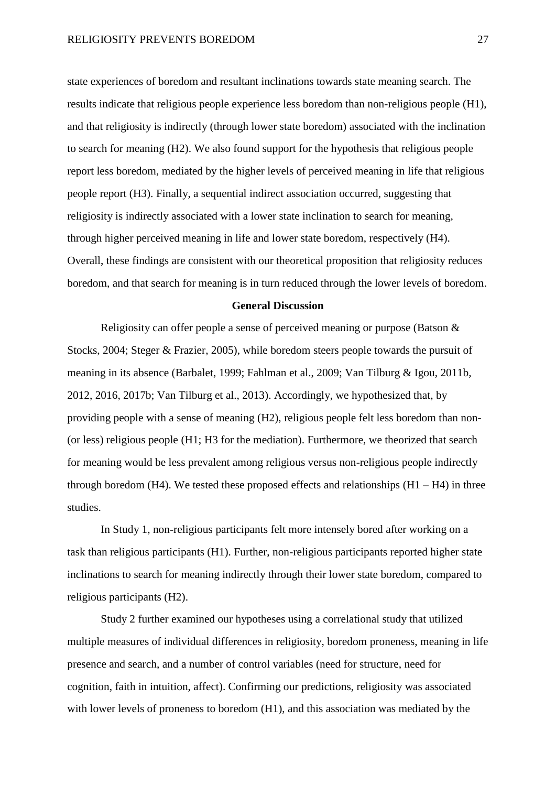state experiences of boredom and resultant inclinations towards state meaning search. The results indicate that religious people experience less boredom than non-religious people (H1), and that religiosity is indirectly (through lower state boredom) associated with the inclination to search for meaning (H2). We also found support for the hypothesis that religious people report less boredom, mediated by the higher levels of perceived meaning in life that religious people report (H3). Finally, a sequential indirect association occurred, suggesting that religiosity is indirectly associated with a lower state inclination to search for meaning, through higher perceived meaning in life and lower state boredom, respectively (H4). Overall, these findings are consistent with our theoretical proposition that religiosity reduces boredom, and that search for meaning is in turn reduced through the lower levels of boredom.

#### **General Discussion**

Religiosity can offer people a sense of perceived meaning or purpose (Batson & Stocks, 2004; Steger & Frazier, 2005), while boredom steers people towards the pursuit of meaning in its absence (Barbalet, 1999; Fahlman et al., 2009; Van Tilburg & Igou, 2011b, 2012, 2016, 2017b; Van Tilburg et al., 2013). Accordingly, we hypothesized that, by providing people with a sense of meaning (H2), religious people felt less boredom than non- (or less) religious people (H1; H3 for the mediation). Furthermore, we theorized that search for meaning would be less prevalent among religious versus non-religious people indirectly through boredom  $(H4)$ . We tested these proposed effects and relationships  $(H1 - H4)$  in three studies.

In Study 1, non-religious participants felt more intensely bored after working on a task than religious participants (H1). Further, non-religious participants reported higher state inclinations to search for meaning indirectly through their lower state boredom, compared to religious participants (H2).

Study 2 further examined our hypotheses using a correlational study that utilized multiple measures of individual differences in religiosity, boredom proneness, meaning in life presence and search, and a number of control variables (need for structure, need for cognition, faith in intuition, affect). Confirming our predictions, religiosity was associated with lower levels of proneness to boredom (H1), and this association was mediated by the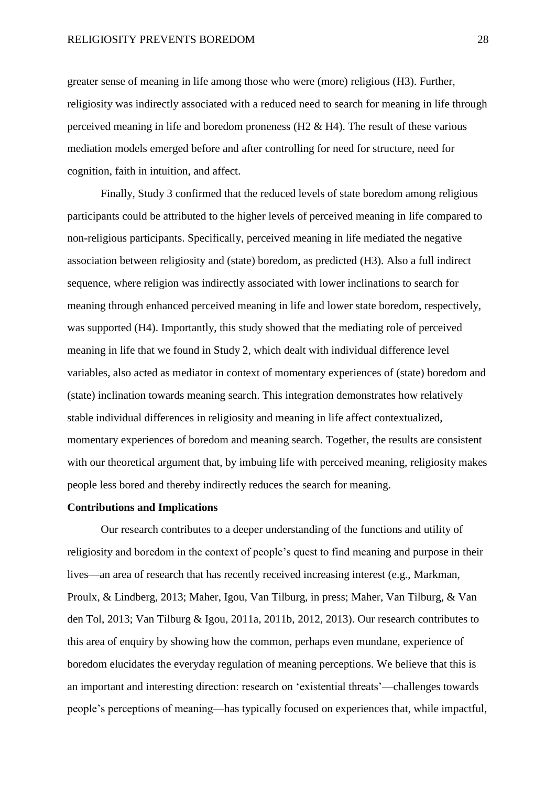greater sense of meaning in life among those who were (more) religious (H3). Further, religiosity was indirectly associated with a reduced need to search for meaning in life through perceived meaning in life and boredom proneness (H2 & H4). The result of these various mediation models emerged before and after controlling for need for structure, need for cognition, faith in intuition, and affect.

Finally, Study 3 confirmed that the reduced levels of state boredom among religious participants could be attributed to the higher levels of perceived meaning in life compared to non-religious participants. Specifically, perceived meaning in life mediated the negative association between religiosity and (state) boredom, as predicted (H3). Also a full indirect sequence, where religion was indirectly associated with lower inclinations to search for meaning through enhanced perceived meaning in life and lower state boredom, respectively, was supported (H4). Importantly, this study showed that the mediating role of perceived meaning in life that we found in Study 2, which dealt with individual difference level variables, also acted as mediator in context of momentary experiences of (state) boredom and (state) inclination towards meaning search. This integration demonstrates how relatively stable individual differences in religiosity and meaning in life affect contextualized, momentary experiences of boredom and meaning search. Together, the results are consistent with our theoretical argument that, by imbuing life with perceived meaning, religiosity makes people less bored and thereby indirectly reduces the search for meaning.

#### **Contributions and Implications**

Our research contributes to a deeper understanding of the functions and utility of religiosity and boredom in the context of people's quest to find meaning and purpose in their lives—an area of research that has recently received increasing interest (e.g., Markman, Proulx, & Lindberg, 2013; Maher, Igou, Van Tilburg, in press; Maher, Van Tilburg, & Van den Tol, 2013; Van Tilburg & Igou, 2011a, 2011b, 2012, 2013). Our research contributes to this area of enquiry by showing how the common, perhaps even mundane, experience of boredom elucidates the everyday regulation of meaning perceptions. We believe that this is an important and interesting direction: research on 'existential threats'—challenges towards people's perceptions of meaning—has typically focused on experiences that, while impactful,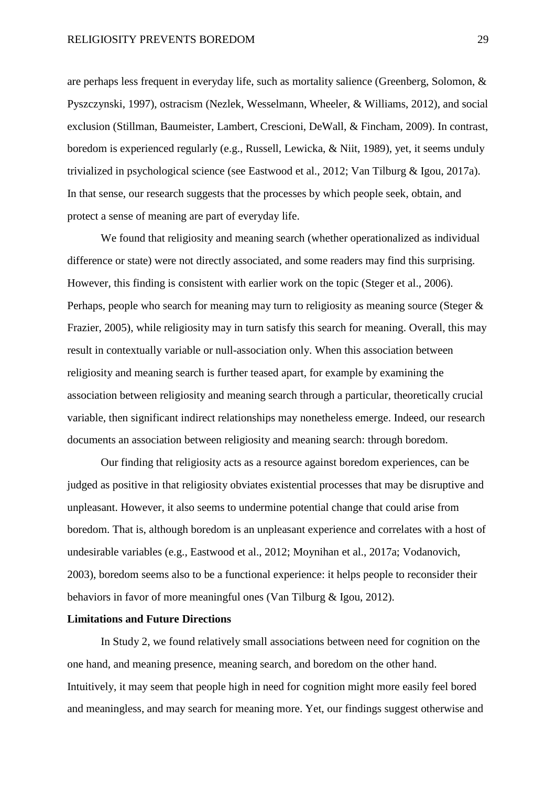are perhaps less frequent in everyday life, such as mortality salience (Greenberg, Solomon, & Pyszczynski, 1997), ostracism (Nezlek, Wesselmann, Wheeler, & Williams, 2012), and social exclusion (Stillman, Baumeister, Lambert, Crescioni, DeWall, & Fincham, 2009). In contrast, boredom is experienced regularly (e.g., Russell, Lewicka, & Niit, 1989), yet, it seems unduly trivialized in psychological science (see Eastwood et al., 2012; Van Tilburg & Igou, 2017a). In that sense, our research suggests that the processes by which people seek, obtain, and protect a sense of meaning are part of everyday life.

We found that religiosity and meaning search (whether operationalized as individual difference or state) were not directly associated, and some readers may find this surprising. However, this finding is consistent with earlier work on the topic (Steger et al., 2006). Perhaps, people who search for meaning may turn to religiosity as meaning source (Steger & Frazier, 2005), while religiosity may in turn satisfy this search for meaning. Overall, this may result in contextually variable or null-association only. When this association between religiosity and meaning search is further teased apart, for example by examining the association between religiosity and meaning search through a particular, theoretically crucial variable, then significant indirect relationships may nonetheless emerge. Indeed, our research documents an association between religiosity and meaning search: through boredom.

Our finding that religiosity acts as a resource against boredom experiences, can be judged as positive in that religiosity obviates existential processes that may be disruptive and unpleasant. However, it also seems to undermine potential change that could arise from boredom. That is, although boredom is an unpleasant experience and correlates with a host of undesirable variables (e.g., Eastwood et al., 2012; Moynihan et al., 2017a; Vodanovich, 2003), boredom seems also to be a functional experience: it helps people to reconsider their behaviors in favor of more meaningful ones (Van Tilburg & Igou, 2012).

# **Limitations and Future Directions**

In Study 2, we found relatively small associations between need for cognition on the one hand, and meaning presence, meaning search, and boredom on the other hand. Intuitively, it may seem that people high in need for cognition might more easily feel bored and meaningless, and may search for meaning more. Yet, our findings suggest otherwise and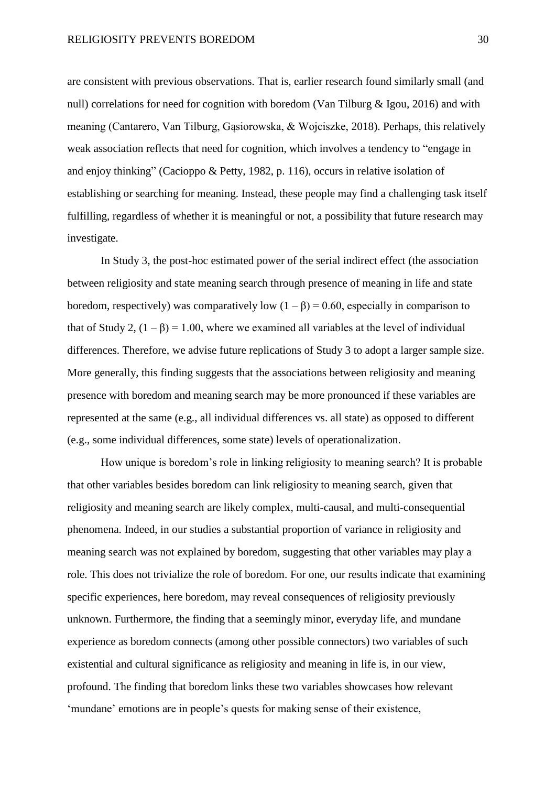are consistent with previous observations. That is, earlier research found similarly small (and null) correlations for need for cognition with boredom (Van Tilburg & Igou, 2016) and with meaning (Cantarero, Van Tilburg, Gąsiorowska, & Wojciszke, 2018). Perhaps, this relatively weak association reflects that need for cognition, which involves a tendency to "engage in and enjoy thinking" (Cacioppo & Petty, 1982, p. 116), occurs in relative isolation of establishing or searching for meaning. Instead, these people may find a challenging task itself fulfilling, regardless of whether it is meaningful or not, a possibility that future research may investigate.

In Study 3, the post-hoc estimated power of the serial indirect effect (the association between religiosity and state meaning search through presence of meaning in life and state boredom, respectively) was comparatively low  $(1 - \beta) = 0.60$ , especially in comparison to that of Study 2,  $(1 - \beta) = 1.00$ , where we examined all variables at the level of individual differences. Therefore, we advise future replications of Study 3 to adopt a larger sample size. More generally, this finding suggests that the associations between religiosity and meaning presence with boredom and meaning search may be more pronounced if these variables are represented at the same (e.g., all individual differences vs. all state) as opposed to different (e.g., some individual differences, some state) levels of operationalization.

How unique is boredom's role in linking religiosity to meaning search? It is probable that other variables besides boredom can link religiosity to meaning search, given that religiosity and meaning search are likely complex, multi-causal, and multi-consequential phenomena. Indeed, in our studies a substantial proportion of variance in religiosity and meaning search was not explained by boredom, suggesting that other variables may play a role. This does not trivialize the role of boredom. For one, our results indicate that examining specific experiences, here boredom, may reveal consequences of religiosity previously unknown. Furthermore, the finding that a seemingly minor, everyday life, and mundane experience as boredom connects (among other possible connectors) two variables of such existential and cultural significance as religiosity and meaning in life is, in our view, profound. The finding that boredom links these two variables showcases how relevant 'mundane' emotions are in people's quests for making sense of their existence,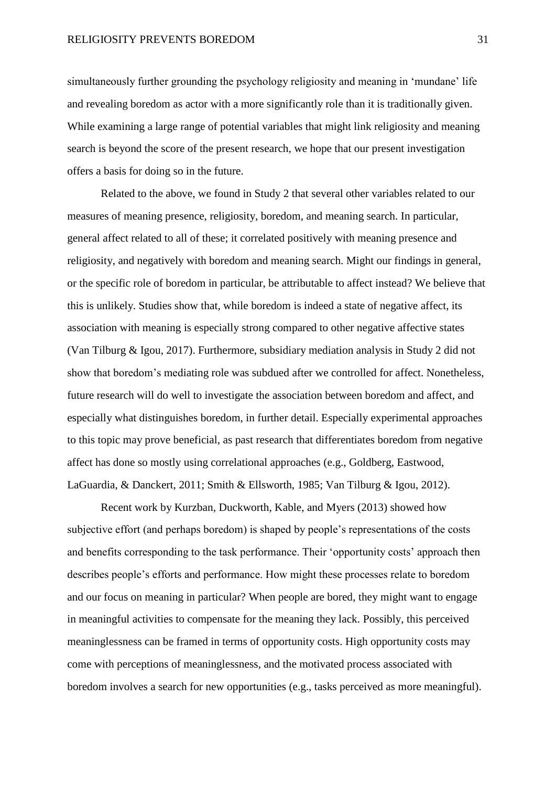simultaneously further grounding the psychology religiosity and meaning in 'mundane' life and revealing boredom as actor with a more significantly role than it is traditionally given. While examining a large range of potential variables that might link religiosity and meaning search is beyond the score of the present research, we hope that our present investigation offers a basis for doing so in the future.

Related to the above, we found in Study 2 that several other variables related to our measures of meaning presence, religiosity, boredom, and meaning search. In particular, general affect related to all of these; it correlated positively with meaning presence and religiosity, and negatively with boredom and meaning search. Might our findings in general, or the specific role of boredom in particular, be attributable to affect instead? We believe that this is unlikely. Studies show that, while boredom is indeed a state of negative affect, its association with meaning is especially strong compared to other negative affective states (Van Tilburg & Igou, 2017). Furthermore, subsidiary mediation analysis in Study 2 did not show that boredom's mediating role was subdued after we controlled for affect. Nonetheless, future research will do well to investigate the association between boredom and affect, and especially what distinguishes boredom, in further detail. Especially experimental approaches to this topic may prove beneficial, as past research that differentiates boredom from negative affect has done so mostly using correlational approaches (e.g., Goldberg, Eastwood, LaGuardia, & Danckert, 2011; Smith & Ellsworth, 1985; Van Tilburg & Igou, 2012).

Recent work by Kurzban, Duckworth, Kable, and Myers (2013) showed how subjective effort (and perhaps boredom) is shaped by people's representations of the costs and benefits corresponding to the task performance. Their 'opportunity costs' approach then describes people's efforts and performance. How might these processes relate to boredom and our focus on meaning in particular? When people are bored, they might want to engage in meaningful activities to compensate for the meaning they lack. Possibly, this perceived meaninglessness can be framed in terms of opportunity costs. High opportunity costs may come with perceptions of meaninglessness, and the motivated process associated with boredom involves a search for new opportunities (e.g., tasks perceived as more meaningful).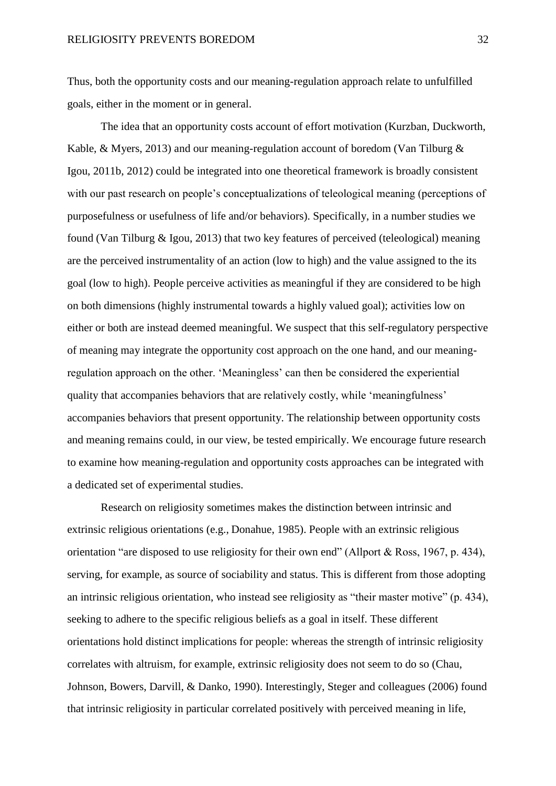Thus, both the opportunity costs and our meaning-regulation approach relate to unfulfilled goals, either in the moment or in general.

The idea that an opportunity costs account of effort motivation (Kurzban, Duckworth, Kable, & Myers, 2013) and our meaning-regulation account of boredom (Van Tilburg & Igou, 2011b, 2012) could be integrated into one theoretical framework is broadly consistent with our past research on people's conceptualizations of teleological meaning (perceptions of purposefulness or usefulness of life and/or behaviors). Specifically, in a number studies we found (Van Tilburg & Igou, 2013) that two key features of perceived (teleological) meaning are the perceived instrumentality of an action (low to high) and the value assigned to the its goal (low to high). People perceive activities as meaningful if they are considered to be high on both dimensions (highly instrumental towards a highly valued goal); activities low on either or both are instead deemed meaningful. We suspect that this self-regulatory perspective of meaning may integrate the opportunity cost approach on the one hand, and our meaningregulation approach on the other. 'Meaningless' can then be considered the experiential quality that accompanies behaviors that are relatively costly, while 'meaningfulness' accompanies behaviors that present opportunity. The relationship between opportunity costs and meaning remains could, in our view, be tested empirically. We encourage future research to examine how meaning-regulation and opportunity costs approaches can be integrated with a dedicated set of experimental studies.

Research on religiosity sometimes makes the distinction between intrinsic and extrinsic religious orientations (e.g., Donahue, 1985). People with an extrinsic religious orientation "are disposed to use religiosity for their own end" (Allport & Ross, 1967, p. 434), serving, for example, as source of sociability and status. This is different from those adopting an intrinsic religious orientation, who instead see religiosity as "their master motive" (p. 434), seeking to adhere to the specific religious beliefs as a goal in itself. These different orientations hold distinct implications for people: whereas the strength of intrinsic religiosity correlates with altruism, for example, extrinsic religiosity does not seem to do so (Chau, Johnson, Bowers, Darvill, & Danko, 1990). Interestingly, Steger and colleagues (2006) found that intrinsic religiosity in particular correlated positively with perceived meaning in life,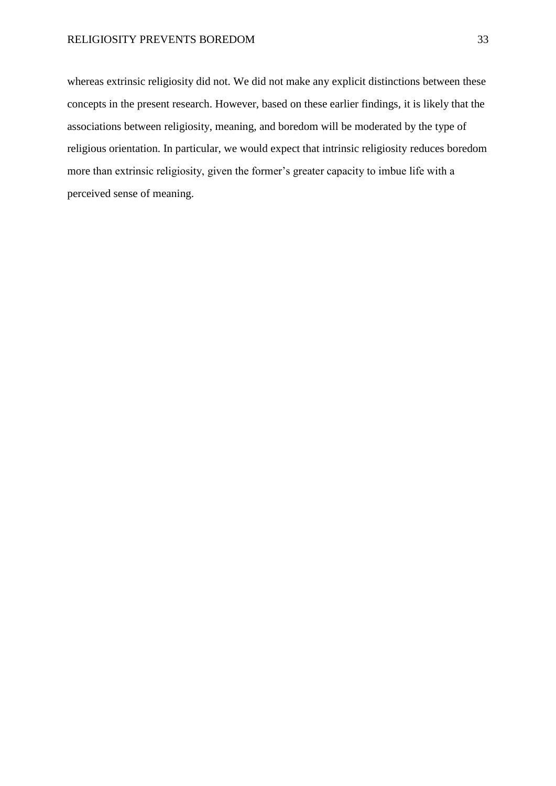## RELIGIOSITY PREVENTS BOREDOM 33

whereas extrinsic religiosity did not. We did not make any explicit distinctions between these concepts in the present research. However, based on these earlier findings, it is likely that the associations between religiosity, meaning, and boredom will be moderated by the type of religious orientation. In particular, we would expect that intrinsic religiosity reduces boredom more than extrinsic religiosity, given the former's greater capacity to imbue life with a perceived sense of meaning.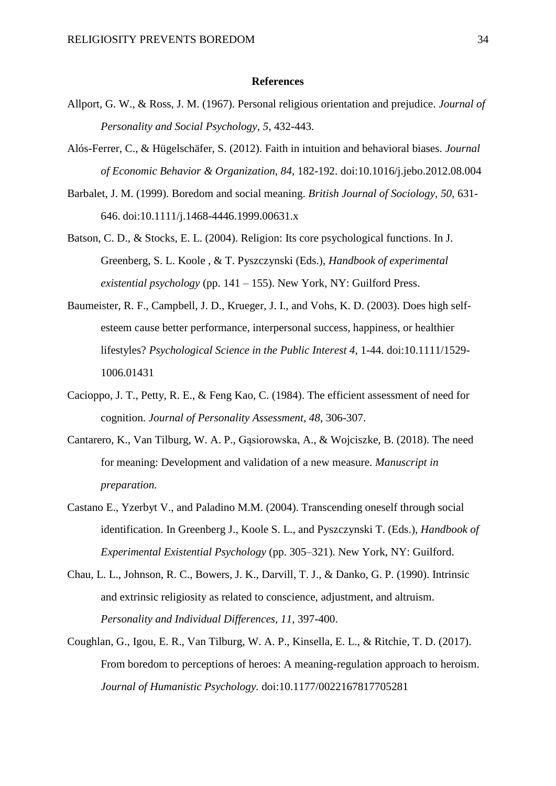#### **References**

- Allport, G. W., & Ross, J. M. (1967). Personal religious orientation and prejudice. *Journal of Personality and Social Psychology, 5,* 432-443.
- Alós-Ferrer, C., & Hügelschäfer, S. (2012). Faith in intuition and behavioral biases. *Journal of Economic Behavior & Organization, 84*, 182-192. doi:10.1016/j.jebo.2012.08.004
- Barbalet, J. M. (1999). Boredom and social meaning. *British Journal of Sociology, 50*, 631- 646. doi:10.1111/j.1468-4446.1999.00631.x
- Batson, C. D., & Stocks, E. L. (2004). Religion: Its core psychological functions. In J. Greenberg, S. L. Koole , & T. Pyszczynski (Eds.), *Handbook of experimental existential psychology* (pp. 141 – 155). New York, NY: Guilford Press.
- Baumeister, R. F., Campbell, J. D., Krueger, J. I., and Vohs, K. D. (2003). Does high selfesteem cause better performance, interpersonal success, happiness, or healthier lifestyles? *Psychological Science in the Public Interest 4*, 1-44. doi:10.1111/1529- 1006.01431
- Cacioppo, J. T., Petty, R. E., & Feng Kao, C. (1984). The efficient assessment of need for cognition. *Journal of Personality Assessment, 48*, 306-307.
- Cantarero, K., Van Tilburg, W. A. P., Gąsiorowska, A., & Wojciszke, B. (2018). The need for meaning: Development and validation of a new measure. *Manuscript in preparation.*
- Castano E., Yzerbyt V., and Paladino M.M. (2004). Transcending oneself through social identification. In Greenberg J., Koole S. L., and Pyszczynski T. (Eds.), *Handbook of Experimental Existential Psychology* (pp. 305–321). New York, NY: Guilford.
- Chau, L. L., Johnson, R. C., Bowers, J. K., Darvill, T. J., & Danko, G. P. (1990). Intrinsic and extrinsic religiosity as related to conscience, adjustment, and altruism. *Personality and Individual Differences, 11*, 397-400.
- Coughlan, G., Igou, E. R., Van Tilburg, W. A. P., Kinsella, E. L., & Ritchie, T. D. (2017). From boredom to perceptions of heroes: A meaning-regulation approach to heroism. *Journal of Humanistic Psychology.* doi:10.1177/0022167817705281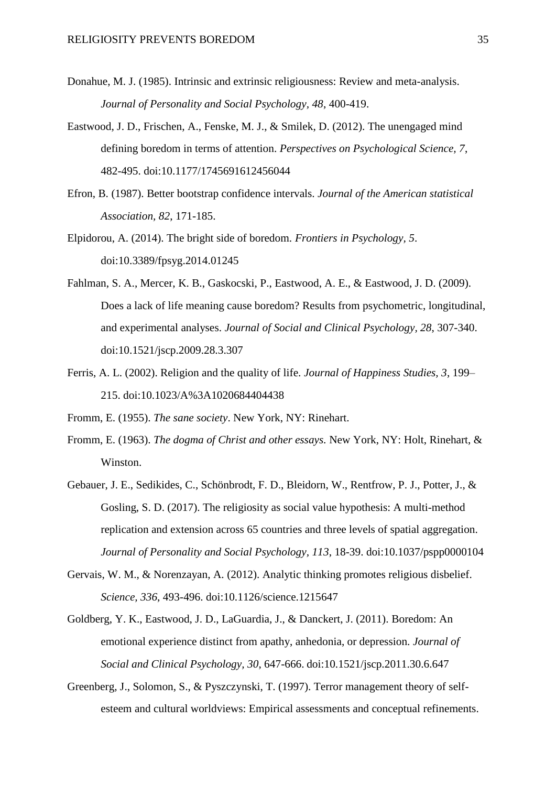- Donahue, M. J. (1985). Intrinsic and extrinsic religiousness: Review and meta-analysis. *Journal of Personality and Social Psychology, 48*, 400-419.
- Eastwood, J. D., Frischen, A., Fenske, M. J., & Smilek, D. (2012). The unengaged mind defining boredom in terms of attention. *Perspectives on Psychological Science, 7*, 482-495. doi:10.1177/1745691612456044
- Efron, B. (1987). Better bootstrap confidence intervals. *Journal of the American statistical Association, 82*, 171-185.
- Elpidorou, A. (2014). The bright side of boredom. *Frontiers in Psychology, 5*. doi:10.3389/fpsyg.2014.01245
- Fahlman, S. A., Mercer, K. B., Gaskocski, P., Eastwood, A. E., & Eastwood, J. D. (2009). Does a lack of life meaning cause boredom? Results from psychometric, longitudinal, and experimental analyses. *Journal of Social and Clinical Psychology, 28*, 307-340. doi:10.1521/jscp.2009.28.3.307
- Ferris, A. L. (2002). Religion and the quality of life. *Journal of Happiness Studies, 3*, 199– 215. doi:10.1023/A%3A1020684404438

Fromm, E. (1955). *The sane society*. New York, NY: Rinehart.

- Fromm, E. (1963). *The dogma of Christ and other essays.* New York, NY: Holt, Rinehart, & Winston.
- Gebauer, J. E., Sedikides, C., Schönbrodt, F. D., Bleidorn, W., Rentfrow, P. J., Potter, J., & Gosling, S. D. (2017). The religiosity as social value hypothesis: A multi-method replication and extension across 65 countries and three levels of spatial aggregation. *Journal of Personality and Social Psychology, 113*, 18-39. doi:10.1037/pspp0000104
- Gervais, W. M., & Norenzayan, A. (2012). Analytic thinking promotes religious disbelief. *Science, 336*, 493-496. doi:10.1126/science.1215647
- Goldberg, Y. K., Eastwood, J. D., LaGuardia, J., & Danckert, J. (2011). Boredom: An emotional experience distinct from apathy, anhedonia, or depression. *Journal of Social and Clinical Psychology, 30*, 647-666. doi:10.1521/jscp.2011.30.6.647
- Greenberg, J., Solomon, S., & Pyszczynski, T. (1997). Terror management theory of selfesteem and cultural worldviews: Empirical assessments and conceptual refinements.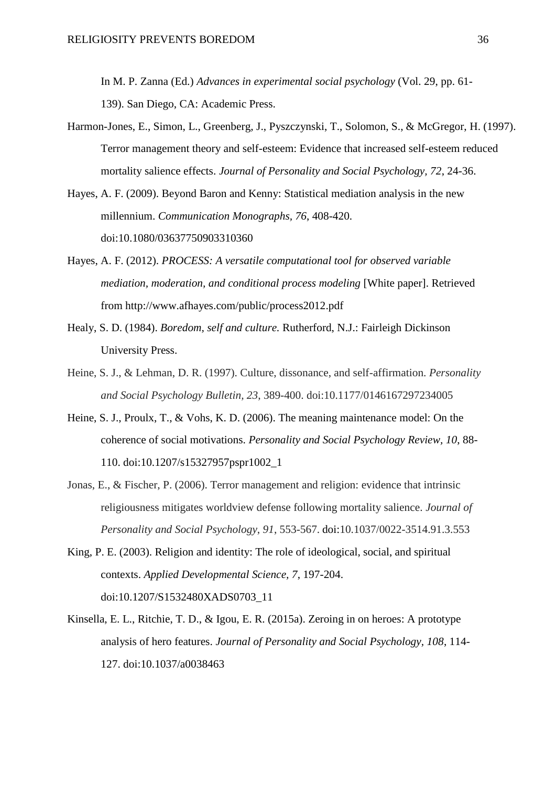In M. P. Zanna (Ed.) *Advances in experimental social psychology* (Vol. 29, pp. 61- 139). San Diego, CA: Academic Press.

- Harmon-Jones, E., Simon, L., Greenberg, J., Pyszczynski, T., Solomon, S., & McGregor, H. (1997). Terror management theory and self-esteem: Evidence that increased self-esteem reduced mortality salience effects. *Journal of Personality and Social Psychology, 72*, 24-36.
- Hayes, A. F. (2009). Beyond Baron and Kenny: Statistical mediation analysis in the new millennium. *Communication Monographs, 76*, 408-420. doi:10.1080/03637750903310360
- Hayes, A. F. (2012). *PROCESS: A versatile computational tool for observed variable mediation, moderation, and conditional process modeling* [White paper]. Retrieved from http://www.afhayes.com/public/process2012.pdf
- Healy, S. D. (1984). *Boredom, self and culture.* Rutherford, N.J.: Fairleigh Dickinson University Press.
- Heine, S. J., & Lehman, D. R. (1997). Culture, dissonance, and self-affirmation. *Personality and Social Psychology Bulletin, 23*, 389-400. doi:10.1177/0146167297234005
- Heine, S. J., Proulx, T., & Vohs, K. D. (2006). The meaning maintenance model: On the coherence of social motivations. *Personality and Social Psychology Review, 10*, 88- 110. doi:10.1207/s15327957pspr1002\_1
- Jonas, E., & Fischer, P. (2006). Terror management and religion: evidence that intrinsic religiousness mitigates worldview defense following mortality salience. *Journal of Personality and Social Psychology*, *91*, 553-567. doi:10.1037/0022-3514.91.3.553
- King, P. E. (2003). Religion and identity: The role of ideological, social, and spiritual contexts. *Applied Developmental Science, 7*, 197-204. doi:10.1207/S1532480XADS0703\_11
- Kinsella, E. L., Ritchie, T. D., & Igou, E. R. (2015a). Zeroing in on heroes: A prototype analysis of hero features. *Journal of Personality and Social Psychology, 108*, 114- 127. doi:10.1037/a0038463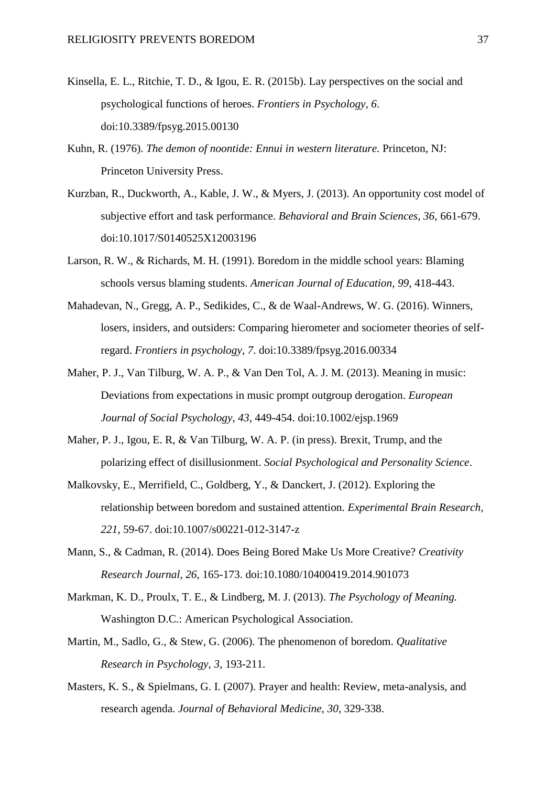- Kinsella, E. L., Ritchie, T. D., & Igou, E. R. (2015b). Lay perspectives on the social and psychological functions of heroes. *Frontiers in Psychology, 6*. doi:10.3389/fpsyg.2015.00130
- Kuhn, R. (1976). *The demon of noontide: Ennui in western literature.* Princeton, NJ: Princeton University Press.
- Kurzban, R., Duckworth, A., Kable, J. W., & Myers, J. (2013). An opportunity cost model of subjective effort and task performance. *Behavioral and Brain Sciences, 36*, 661-679. doi:10.1017/S0140525X12003196
- Larson, R. W., & Richards, M. H. (1991). Boredom in the middle school years: Blaming schools versus blaming students. *American Journal of Education, 99*, 418-443.
- Mahadevan, N., Gregg, A. P., Sedikides, C., & de Waal-Andrews, W. G. (2016). Winners, losers, insiders, and outsiders: Comparing hierometer and sociometer theories of selfregard. *Frontiers in psychology, 7*. doi:10.3389/fpsyg.2016.00334
- Maher, P. J., Van Tilburg, W. A. P., & Van Den Tol, A. J. M. (2013). Meaning in music: Deviations from expectations in music prompt outgroup derogation. *European Journal of Social Psychology, 43*, 449-454. doi:10.1002/ejsp.1969
- Maher, P. J., Igou, E. R, & Van Tilburg, W. A. P. (in press). Brexit, Trump, and the polarizing effect of disillusionment. *Social Psychological and Personality Science*.
- Malkovsky, E., Merrifield, C., Goldberg, Y., & Danckert, J. (2012). Exploring the relationship between boredom and sustained attention. *Experimental Brain Research, 221*, 59-67. doi:10.1007/s00221-012-3147-z
- Mann, S., & Cadman, R. (2014). Does Being Bored Make Us More Creative? *Creativity Research Journal, 26*, 165-173. doi:10.1080/10400419.2014.901073
- Markman, K. D., Proulx, T. E., & Lindberg, M. J. (2013). *The Psychology of Meaning.* Washington D.C.: American Psychological Association.
- Martin, M., Sadlo, G., & Stew, G. (2006). The phenomenon of boredom. *Qualitative Research in Psychology, 3*, 193-211.
- Masters, K. S., & Spielmans, G. I. (2007). Prayer and health: Review, meta-analysis, and research agenda. *Journal of Behavioral Medicine, 30*, 329-338.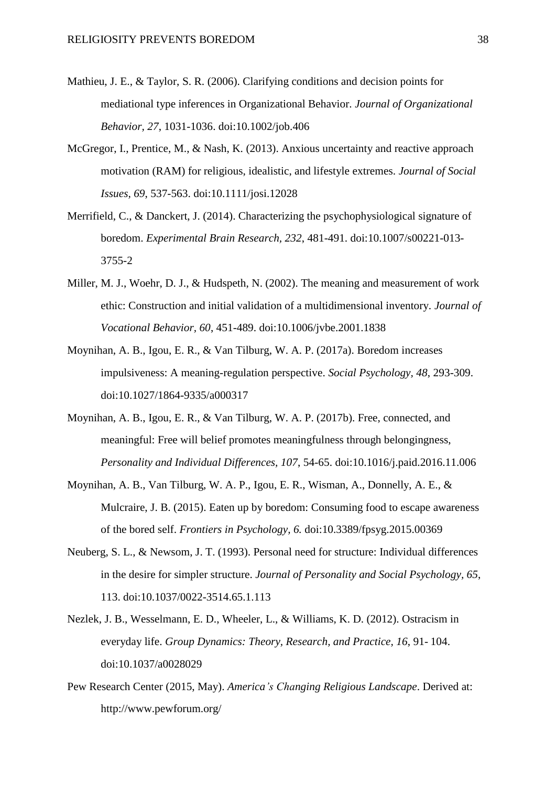- Mathieu, J. E., & Taylor, S. R. (2006). Clarifying conditions and decision points for mediational type inferences in Organizational Behavior. *Journal of Organizational Behavior, 27*, 1031-1036. doi:10.1002/job.406
- McGregor, I., Prentice, M., & Nash, K. (2013). Anxious uncertainty and reactive approach motivation (RAM) for religious, idealistic, and lifestyle extremes. *Journal of Social Issues, 69*, 537-563. doi:10.1111/josi.12028
- Merrifield, C., & Danckert, J. (2014). Characterizing the psychophysiological signature of boredom. *Experimental Brain Research, 232*, 481-491. doi:10.1007/s00221-013- 3755-2
- Miller, M. J., Woehr, D. J., & Hudspeth, N. (2002). The meaning and measurement of work ethic: Construction and initial validation of a multidimensional inventory. *Journal of Vocational Behavior, 60*, 451-489. doi:10.1006/jvbe.2001.1838
- Moynihan, A. B., Igou, E. R., & Van Tilburg, W. A. P. (2017a). Boredom increases impulsiveness: A meaning-regulation perspective. *Social Psychology, 48*, 293-309. doi:10.1027/1864-9335/a000317
- Moynihan, A. B., Igou, E. R., & Van Tilburg, W. A. P. (2017b). Free, connected, and meaningful: Free will belief promotes meaningfulness through belongingness, *Personality and Individual Differences, 107*, 54-65. doi:10.1016/j.paid.2016.11.006
- Moynihan, A. B., Van Tilburg, W. A. P., Igou, E. R., Wisman, A., Donnelly, A. E., & Mulcraire, J. B. (2015). Eaten up by boredom: Consuming food to escape awareness of the bored self. *Frontiers in Psychology, 6.* doi:10.3389/fpsyg.2015.00369
- Neuberg, S. L., & Newsom, J. T. (1993). Personal need for structure: Individual differences in the desire for simpler structure. *Journal of Personality and Social Psychology, 65*, 113. doi:10.1037/0022-3514.65.1.113
- Nezlek, J. B., Wesselmann, E. D., Wheeler, L., & Williams, K. D. (2012). Ostracism in everyday life. *Group Dynamics: Theory, Research, and Practice, 16*, 91- 104. doi:10.1037/a0028029
- Pew Research Center (2015, May). *America's Changing Religious Landscape*. Derived at: http://www.pewforum.org/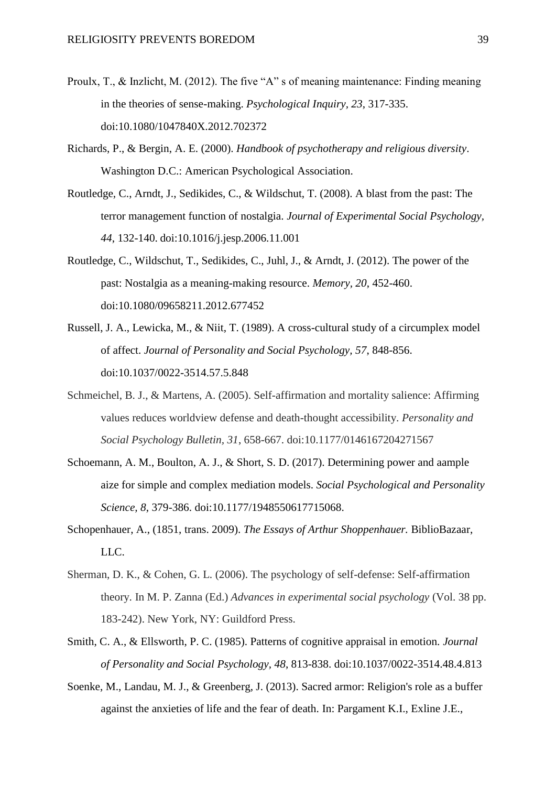- Proulx, T., & Inzlicht, M. (2012). The five "A" s of meaning maintenance: Finding meaning in the theories of sense-making. *Psychological Inquiry, 23*, 317-335. doi:10.1080/1047840X.2012.702372
- Richards, P., & Bergin, A. E. (2000). *Handbook of psychotherapy and religious diversity*. Washington D.C.: American Psychological Association.
- Routledge, C., Arndt, J., Sedikides, C., & Wildschut, T. (2008). A blast from the past: The terror management function of nostalgia. *Journal of Experimental Social Psychology, 44*, 132-140. doi:10.1016/j.jesp.2006.11.001
- Routledge, C., Wildschut, T., Sedikides, C., Juhl, J., & Arndt, J. (2012). The power of the past: Nostalgia as a meaning-making resource. *Memory, 20*, 452-460. doi:10.1080/09658211.2012.677452
- Russell, J. A., Lewicka, M., & Niit, T. (1989). A cross-cultural study of a circumplex model of affect. *Journal of Personality and Social Psychology, 57*, 848-856. doi:10.1037/0022-3514.57.5.848
- Schmeichel, B. J., & Martens, A. (2005). Self-affirmation and mortality salience: Affirming values reduces worldview defense and death-thought accessibility. *Personality and Social Psychology Bulletin, 31*, 658-667. doi:10.1177/0146167204271567
- Schoemann, A. M., Boulton, A. J., & Short, S. D. (2017). Determining power and aample aize for simple and complex mediation models. *Social Psychological and Personality Science, 8*, 379-386. doi:10.1177/1948550617715068.
- Schopenhauer, A., (1851, trans. 2009). *The Essays of Arthur Shoppenhauer.* BiblioBazaar, LLC.
- Sherman, D. K., & Cohen, G. L. (2006). The psychology of self-defense: Self-affirmation theory. In M. P. Zanna (Ed.) *Advances in experimental social psychology* (Vol. 38 pp. 183-242). New York, NY: Guildford Press.
- Smith, C. A., & Ellsworth, P. C. (1985). Patterns of cognitive appraisal in emotion. *Journal of Personality and Social Psychology, 48*, 813-838. doi:10.1037/0022-3514.48.4.813
- Soenke, M., Landau, M. J., & Greenberg, J. (2013). Sacred armor: Religion's role as a buffer against the anxieties of life and the fear of death. In: Pargament K.I., Exline J.E.,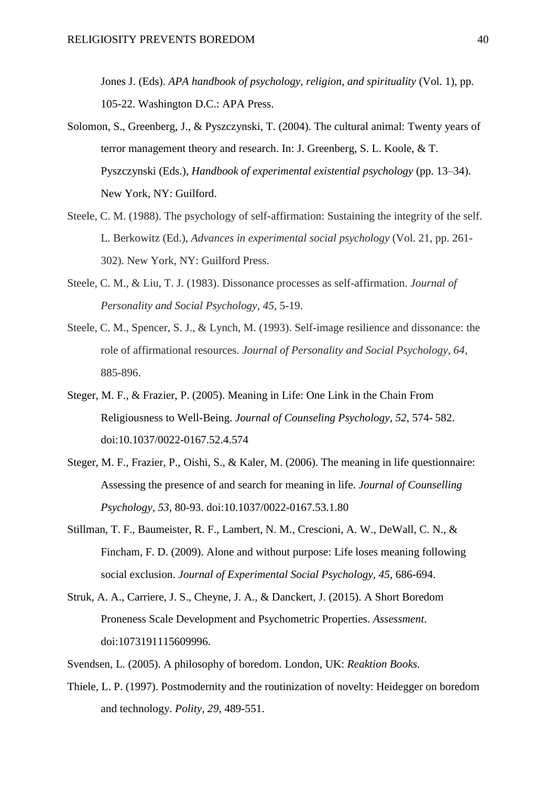Jones J. (Eds). *APA handbook of psychology, religion, and spirituality* (Vol. 1), pp. 105-22. Washington D.C.: APA Press.

- Solomon, S., Greenberg, J., & Pyszczynski, T. (2004). The cultural animal: Twenty years of terror management theory and research. In: J. Greenberg, S. L. Koole, & T. Pyszczynski (Eds.), *Handbook of experimental existential psychology* (pp. 13–34). New York, NY: Guilford.
- Steele, C. M. (1988). The psychology of self-affirmation: Sustaining the integrity of the self. L. Berkowitz (Ed.), *Advances in experimental social psychology* (Vol. 21, pp. 261- 302). New York, NY: Guilford Press.
- Steele, C. M., & Liu, T. J. (1983). Dissonance processes as self-affirmation. *Journal of Personality and Social Psychology, 45*, 5-19.
- Steele, C. M., Spencer, S. J., & Lynch, M. (1993). Self-image resilience and dissonance: the role of affirmational resources. *Journal of Personality and Social Psychology, 64*, 885-896.
- Steger, M. F., & Frazier, P. (2005). Meaning in Life: One Link in the Chain From Religiousness to Well-Being. *Journal of Counseling Psychology, 52*, 574- 582. doi:10.1037/0022-0167.52.4.574
- Steger, M. F., Frazier, P., Oishi, S., & Kaler, M. (2006). The meaning in life questionnaire: Assessing the presence of and search for meaning in life. *Journal of Counselling Psychology, 53*, 80-93. doi:10.1037/0022-0167.53.1.80
- Stillman, T. F., Baumeister, R. F., Lambert, N. M., Crescioni, A. W., DeWall, C. N., & Fincham, F. D. (2009). Alone and without purpose: Life loses meaning following social exclusion. *Journal of Experimental Social Psychology, 45*, 686-694.
- Struk, A. A., Carriere, J. S., Cheyne, J. A., & Danckert, J. (2015). A Short Boredom Proneness Scale Development and Psychometric Properties. *Assessment*. doi:1073191115609996.
- Svendsen, L. (2005). A philosophy of boredom. London, UK: *Reaktion Books.*
- Thiele, L. P. (1997). Postmodernity and the routinization of novelty: Heidegger on boredom and technology. *Polity, 29*, 489-551.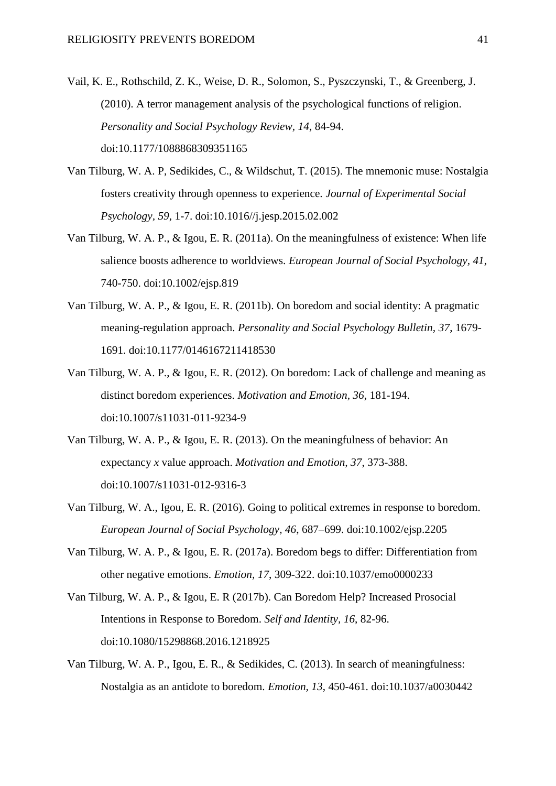- Vail, K. E., Rothschild, Z. K., Weise, D. R., Solomon, S., Pyszczynski, T., & Greenberg, J. (2010). A terror management analysis of the psychological functions of religion. *Personality and Social Psychology Review, 14*, 84-94. doi:10.1177/1088868309351165
- Van Tilburg, W. A. P, Sedikides, C., & Wildschut, T. (2015). The mnemonic muse: Nostalgia fosters creativity through openness to experience. *Journal of Experimental Social Psychology, 59*, 1-7. doi:10.1016//j.jesp.2015.02.002
- Van Tilburg, W. A. P., & Igou, E. R. (2011a). On the meaningfulness of existence: When life salience boosts adherence to worldviews. *European Journal of Social Psychology, 41*, 740-750. doi:10.1002/ejsp.819
- Van Tilburg, W. A. P., & Igou, E. R. (2011b). On boredom and social identity: A pragmatic meaning-regulation approach. *Personality and Social Psychology Bulletin, 37*, 1679- 1691. doi:10.1177/0146167211418530
- Van Tilburg, W. A. P., & Igou, E. R. (2012). On boredom: Lack of challenge and meaning as distinct boredom experiences. *Motivation and Emotion, 36*, 181-194. doi:10.1007/s11031-011-9234-9
- Van Tilburg, W. A. P., & Igou, E. R. (2013). On the meaningfulness of behavior: An expectancy *x* value approach. *Motivation and Emotion, 37*, 373-388. doi:10.1007/s11031-012-9316-3
- Van Tilburg, W. A., Igou, E. R. (2016). Going to political extremes in response to boredom. *European Journal of Social Psychology, 46*, 687–699. doi:10.1002/ejsp.2205
- Van Tilburg, W. A. P., & Igou, E. R. (2017a). Boredom begs to differ: Differentiation from other negative emotions. *Emotion, 17*, 309-322. doi:10.1037/emo0000233
- Van Tilburg, W. A. P., & Igou, E. R (2017b). Can Boredom Help? Increased Prosocial Intentions in Response to Boredom. *Self and Identity, 16*, 82-96. doi:10.1080/15298868.2016.1218925
- Van Tilburg, W. A. P., Igou, E. R., & Sedikides, C. (2013). In search of meaningfulness: Nostalgia as an antidote to boredom. *Emotion, 13*, 450-461. doi:10.1037/a0030442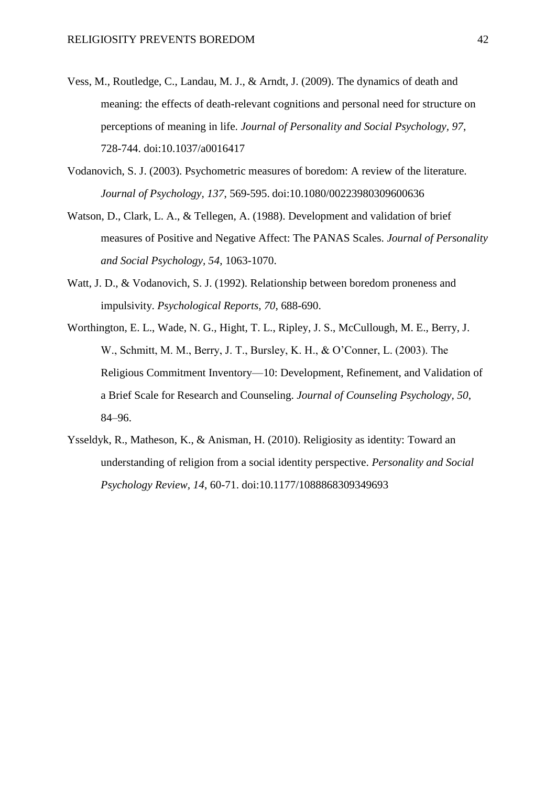- Vess, M., Routledge, C., Landau, M. J., & Arndt, J. (2009). The dynamics of death and meaning: the effects of death-relevant cognitions and personal need for structure on perceptions of meaning in life. *Journal of Personality and Social Psychology, 97*, 728-744. doi:10.1037/a0016417
- Vodanovich, S. J. (2003). Psychometric measures of boredom: A review of the literature. *Journal of Psychology, 137*, 569-595. doi:10.1080/00223980309600636
- Watson, D., Clark, L. A., & Tellegen, A. (1988). Development and validation of brief measures of Positive and Negative Affect: The PANAS Scales. *Journal of Personality and Social Psychology, 54*, 1063-1070.
- Watt, J. D., & Vodanovich, S. J. (1992). Relationship between boredom proneness and impulsivity. *Psychological Reports, 70*, 688-690.
- Worthington, E. L., Wade, N. G., Hight, T. L., Ripley, J. S., McCullough, M. E., Berry, J. W., Schmitt, M. M., Berry, J. T., Bursley, K. H., & O'Conner, L. (2003). The Religious Commitment Inventory—10: Development, Refinement, and Validation of a Brief Scale for Research and Counseling. *Journal of Counseling Psychology, 50*, 84–96.
- Ysseldyk, R., Matheson, K., & Anisman, H. (2010). Religiosity as identity: Toward an understanding of religion from a social identity perspective. *Personality and Social Psychology Review, 14*, 60-71. doi:10.1177/1088868309349693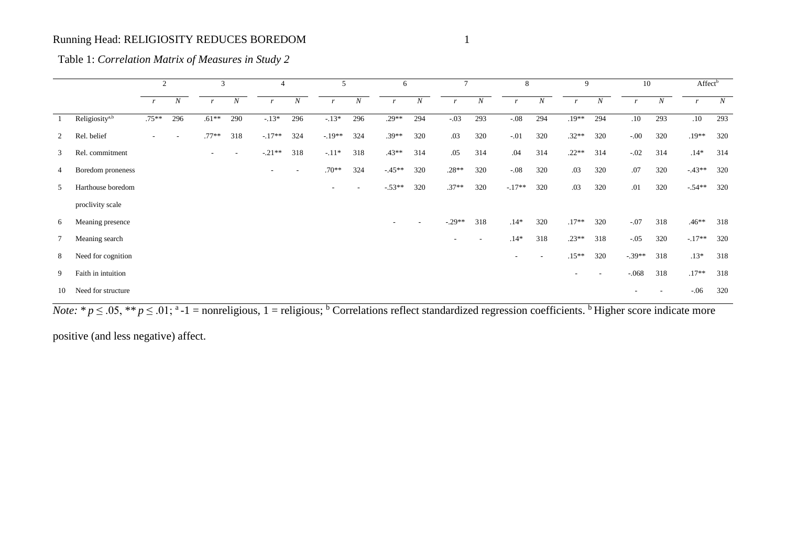|                |                            | 2            |                  | 3            |                          | 4                        |                  | 5                |                  | 6                        |                  | $\mathcal{I}$            |                  | 8            |     | 9                        |                          |                  | 10               |              | Affect <sup>b</sup> |  |
|----------------|----------------------------|--------------|------------------|--------------|--------------------------|--------------------------|------------------|------------------|------------------|--------------------------|------------------|--------------------------|------------------|--------------|-----|--------------------------|--------------------------|------------------|------------------|--------------|---------------------|--|
|                |                            | $\mathbf{r}$ | $\boldsymbol{N}$ | $\mathbf{r}$ | $\boldsymbol{N}$         |                          | $\boldsymbol{N}$ | $\boldsymbol{r}$ | $\boldsymbol{N}$ | $\boldsymbol{r}$         | $\boldsymbol{N}$ | $\mathbf{r}$             | $\boldsymbol{N}$ | $\mathbf{r}$ | N   | $\mathbf{r}$             | $\boldsymbol{N}$         | $\boldsymbol{r}$ | $\boldsymbol{N}$ | $\mathbf{r}$ | $\boldsymbol{N}$    |  |
|                | Religiosity <sup>a,b</sup> | $.75**$      | 296              | $.61***$     | 290                      | $-13*$                   | 296              | $-13*$           | 296              | $.29**$                  | 294              | $-.03$                   | 293              | $-.08$       | 294 | $.19**$                  | 294                      | .10              | 293              | .10          | 293                 |  |
| $\overline{2}$ | Rel. belief                |              | ٠                | $.77**$      | 318                      | $-.17**$                 | 324              | $-.19**$         | 324              | $.39**$                  | 320              | .03                      | 320              | $-.01$       | 320 | $.32**$                  | 320                      | $-.00$           | 320              | $.19**$      | 320                 |  |
| 3              | Rel. commitment            |              |                  |              | $\overline{\phantom{a}}$ | $-.21**$                 | 318              | $-.11*$          | 318              | $.43**$                  | 314              | .05                      | 314              | .04          | 314 | $.22**$                  | 314                      | $-.02$           | 314              | $.14*$       | 314                 |  |
| 4              | Boredom proneness          |              |                  |              |                          | $\overline{\phantom{a}}$ |                  | $.70**$          | 324              | $-45**$                  | 320              | $.28**$                  | 320              | $-.08$       | 320 | .03                      | 320                      | .07              | 320              | $-43**$      | 320                 |  |
| 5.             | Harthouse boredom          |              |                  |              |                          |                          |                  | ۰.               |                  | $-53**$                  | 320              | $.37**$                  | 320              | $-.17**$     | 320 | .03                      | 320                      | .01              | 320              | $-.54**$     | 320                 |  |
|                | proclivity scale           |              |                  |              |                          |                          |                  |                  |                  |                          |                  |                          |                  |              |     |                          |                          |                  |                  |              |                     |  |
| 6              | Meaning presence           |              |                  |              |                          |                          |                  |                  |                  | $\overline{\phantom{a}}$ |                  | $-.29**$                 | 318              | $.14*$       | 320 | $.17**$                  | 320                      | $-.07$           | 318              | $.46**$      | 318                 |  |
|                | Meaning search             |              |                  |              |                          |                          |                  |                  |                  |                          |                  | $\overline{\phantom{a}}$ |                  | $.14*$       | 318 | $.23**$                  | 318                      | $-.05$           | 320              | $-.17**$     | 320                 |  |
| 8              | Need for cognition         |              |                  |              |                          |                          |                  |                  |                  |                          |                  |                          |                  | $\sim$       |     | $.15**$                  | 320                      | $-.39**$         | 318              | $.13*$       | 318                 |  |
| 9              | Faith in intuition         |              |                  |              |                          |                          |                  |                  |                  |                          |                  |                          |                  |              |     | $\overline{\phantom{a}}$ | $\overline{\phantom{a}}$ | $-.068$          | 318              | $.17**$      | 318                 |  |
| 10             | Need for structure         |              |                  |              |                          |                          |                  |                  |                  |                          |                  |                          |                  |              |     |                          |                          |                  |                  | $-.06$       | 320                 |  |

Table 1: *Correlation Matrix of Measures in Study 2*

*Note*:  $* p \le 0.05$ ,  $** p \le 0.01$ ;  $*-1$  = nonreligious, 1 = religious; <sup>b</sup> Correlations reflect standardized regression coefficients. <sup>b</sup> Higher score indicate more

positive (and less negative) affect.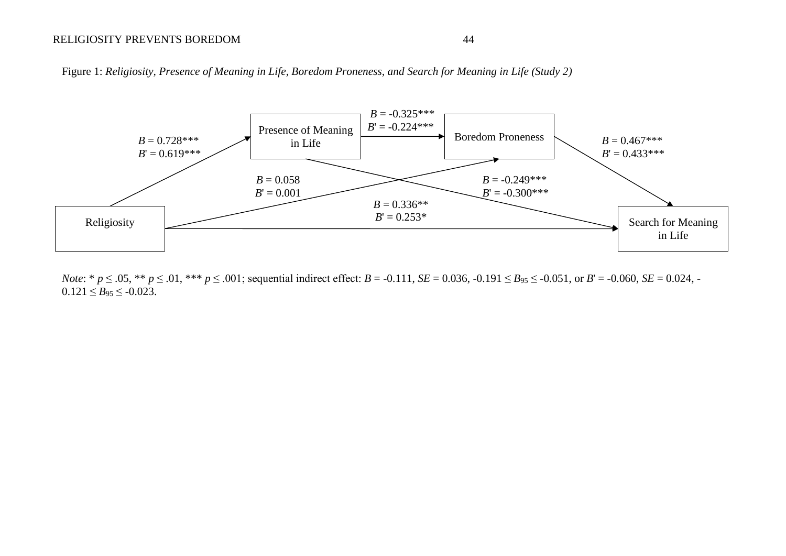# RELIGIOSITY PREVENTS BOREDOM 44

Figure 1: *Religiosity, Presence of Meaning in Life, Boredom Proneness, and Search for Meaning in Life (Study 2)*



*Note*: \*  $p \le 0.05$ , \*\*  $p \le 0.01$ , \*\*\*  $p \le 0.01$ ; sequential indirect effect:  $B = -0.111$ ,  $SE = 0.036$ ,  $-0.191 \le B_{95} \le -0.051$ , or  $B' = -0.060$ ,  $SE = 0.024$ , - $0.121 \leq B_{95} \leq -0.023$ .